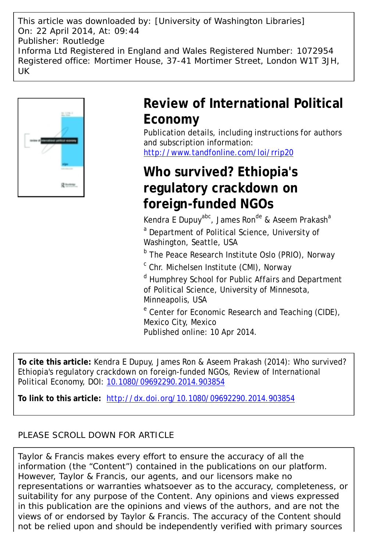This article was downloaded by: [University of Washington Libraries] On: 22 April 2014, At: 09:44 Publisher: Routledge Informa Ltd Registered in England and Wales Registered Number: 1072954 Registered office: Mortimer House, 37-41 Mortimer Street, London W1T 3JH, UK



## **Review of International Political Economy**

Publication details, including instructions for authors and subscription information:

<http://www.tandfonline.com/loi/rrip20>

# **Who survived? Ethiopia's regulatory crackdown on foreign-funded NGOs**

Kendra E Dupuy<sup>abc</sup>, James Ron<sup>de</sup> & Aseem Prakash<sup>a</sup> <sup>a</sup> Department of Political Science, University of Washington, Seattle, USA

**b** The Peace Research Institute Oslo (PRIO), Norway

<sup>c</sup> Chr. Michelsen Institute (CMI), Norway

<sup>d</sup> Humphrey School for Public Affairs and Department of Political Science, University of Minnesota, Minneapolis, USA

<sup>e</sup> Center for Economic Research and Teaching (CIDE), Mexico City, Mexico Published online: 10 Apr 2014.

**To cite this article:** Kendra E Dupuy, James Ron & Aseem Prakash (2014): Who survived? Ethiopia's regulatory crackdown on foreign-funded NGOs, Review of International Political Economy, DOI: [10.1080/09692290.2014.903854](http://www.tandfonline.com/action/showCitFormats?doi=10.1080/09692290.2014.903854)

**To link to this article:** <http://dx.doi.org/10.1080/09692290.2014.903854>

## PLEASE SCROLL DOWN FOR ARTICLE

Taylor & Francis makes every effort to ensure the accuracy of all the information (the "Content") contained in the publications on our platform. However, Taylor & Francis, our agents, and our licensors make no representations or warranties whatsoever as to the accuracy, completeness, or suitability for any purpose of the Content. Any opinions and views expressed in this publication are the opinions and views of the authors, and are not the views of or endorsed by Taylor & Francis. The accuracy of the Content should not be relied upon and should be independently verified with primary sources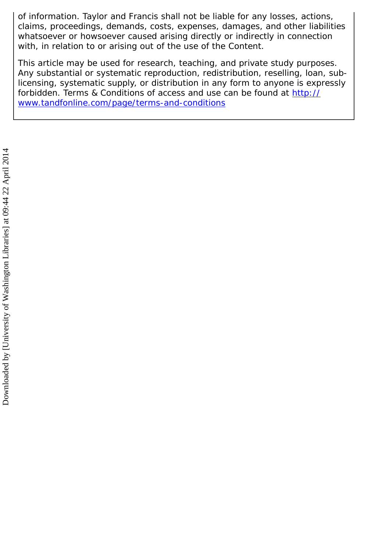of information. Taylor and Francis shall not be liable for any losses, actions, claims, proceedings, demands, costs, expenses, damages, and other liabilities whatsoever or howsoever caused arising directly or indirectly in connection with, in relation to or arising out of the use of the Content.

This article may be used for research, teaching, and private study purposes. Any substantial or systematic reproduction, redistribution, reselling, loan, sublicensing, systematic supply, or distribution in any form to anyone is expressly forbidden. Terms & Conditions of access and use can be found at [http://](http://www.tandfonline.com/page/terms-and-conditions) [www.tandfonline.com/page/terms-and-conditions](http://www.tandfonline.com/page/terms-and-conditions)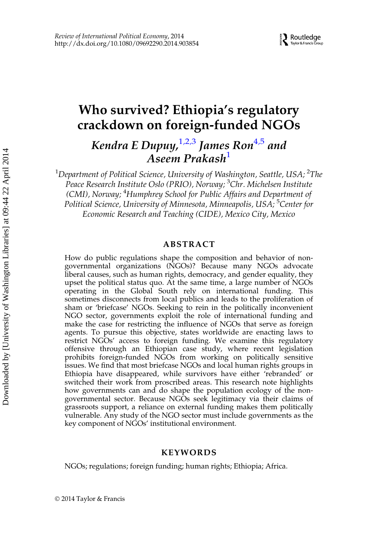## Who survived? Ethiopia's regulatory crackdown on foreign-funded NGOs

Kendra E Dupuy[,](#page-2-3)  $1,2,3$  $1,2,3$  $1,2,3$  $1,2,3$  $1,2,3$  James Ron<sup>[4](#page-2-2),[5](#page-2-3)</sup> and  $A$ seem Prakash $1$ 

<span id="page-2-3"></span><span id="page-2-2"></span><span id="page-2-1"></span><span id="page-2-0"></span> $^1$ Department of Political Science, University of Washington, Seattle, USA;  $^2$ The Peace Research Institute Oslo (PRIO), Norway; <sup>3</sup>Chr. Michelsen Institute (CMI), Norway; <sup>4</sup>Humphrey School for Public Affairs and Department of Political Science, University of Minnesota, Minneapolis, USA; <sup>5</sup>Center for Economic Research and Teaching (CIDE), Mexico City, Mexico

#### ABSTRACT

How do public regulations shape the composition and behavior of nongovernmental organizations (NGOs)? Because many NGOs advocate liberal causes, such as human rights, democracy, and gender equality, they upset the political status quo. At the same time, a large number of NGOs operating in the Global South rely on international funding. This sometimes disconnects from local publics and leads to the proliferation of sham or 'briefcase' NGOs. Seeking to rein in the politically inconvenient NGO sector, governments exploit the role of international funding and make the case for restricting the influence of NGOs that serve as foreign agents. To pursue this objective, states worldwide are enacting laws to restrict NGOs' access to foreign funding. We examine this regulatory offensive through an Ethiopian case study, where recent legislation prohibits foreign-funded NGOs from working on politically sensitive issues. We find that most briefcase NGOs and local human rights groups in Ethiopia have disappeared, while survivors have either 'rebranded' or switched their work from proscribed areas. This research note highlights how governments can and do shape the population ecology of the nongovernmental sector. Because NGOs seek legitimacy via their claims of grassroots support, a reliance on external funding makes them politically vulnerable. Any study of the NGO sector must include governments as the key component of NGOs' institutional environment.

#### KEYWORDS

NGOs; regulations; foreign funding; human rights; Ethiopia; Africa.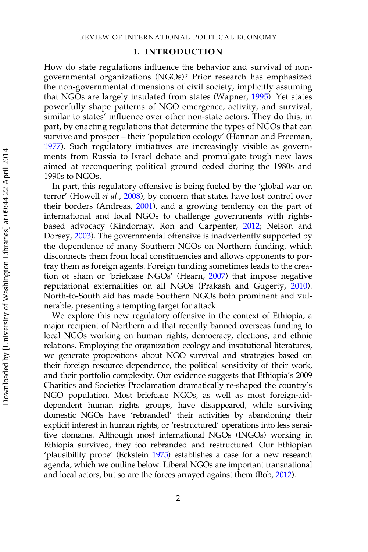#### 1. INTRODUCTION

How do state regulations influence the behavior and survival of nongovernmental organizations (NGOs)? Prior research has emphasized the non-governmental dimensions of civil society, implicitly assuming that NGOs are largely insulated from states (Wapner, [1995\)](#page-37-0). Yet states powerfully shape patterns of NGO emergence, activity, and survival, similar to states' influence over other non-state actors. They do this, in part, by enacting regulations that determine the types of NGOs that can survive and prosper – their 'population ecology' (Hannan and Freeman, [1977](#page-34-0)). Such regulatory initiatives are increasingly visible as governments from Russia to Israel debate and promulgate tough new laws aimed at reconquering political ground ceded during the 1980s and 1990s to NGOs.

In part, this regulatory offensive is being fueled by the 'global war on terror' (Howell et al., [2008\)](#page-35-0), by concern that states have lost control over their borders (Andreas, [2001\)](#page-32-0), and a growing tendency on the part of international and local NGOs to challenge governments with rightsbased advocacy (Kindornay, Ron and Carpenter, [2012](#page-35-1); Nelson and Dorsey, [2003](#page-36-0)). The governmental offensive is inadvertently supported by the dependence of many Southern NGOs on Northern funding, which disconnects them from local constituencies and allows opponents to portray them as foreign agents. Foreign funding sometimes leads to the creation of sham or 'briefcase NGOs' (Hearn, [2007](#page-35-2)) that impose negative reputational externalities on all NGOs (Prakash and Gugerty, [2010\)](#page-36-1). North-to-South aid has made Southern NGOs both prominent and vulnerable, presenting a tempting target for attack.

We explore this new regulatory offensive in the context of Ethiopia, a major recipient of Northern aid that recently banned overseas funding to local NGOs working on human rights, democracy, elections, and ethnic relations. Employing the organization ecology and institutional literatures, we generate propositions about NGO survival and strategies based on their foreign resource dependence, the political sensitivity of their work, and their portfolio complexity. Our evidence suggests that Ethiopia's 2009 Charities and Societies Proclamation dramatically re-shaped the country's NGO population. Most briefcase NGOs, as well as most foreign-aiddependent human rights groups, have disappeared, while surviving domestic NGOs have 'rebranded' their activities by abandoning their explicit interest in human rights, or 'restructured' operations into less sensitive domains. Although most international NGOs (INGOs) working in Ethiopia survived, they too rebranded and restructured. Our Ethiopian 'plausibility probe' (Eckstein [1975](#page-34-1)) establishes a case for a new research agenda, which we outline below. Liberal NGOs are important transnational and local actors, but so are the forces arrayed against them (Bob, [2012\)](#page-33-0).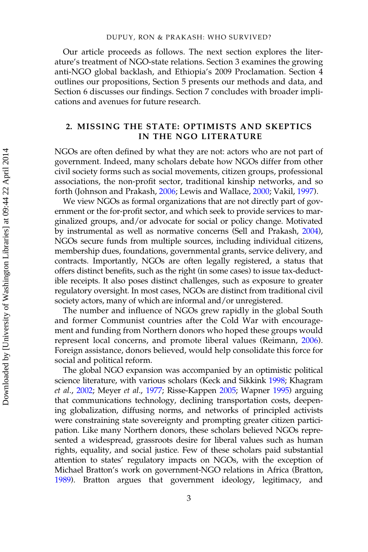Our article proceeds as follows. The next section explores the literature's treatment of NGO-state relations. Section 3 examines the growing anti-NGO global backlash, and Ethiopia's 2009 Proclamation. Section 4 outlines our propositions, Section 5 presents our methods and data, and Section 6 discusses our findings. Section 7 concludes with broader implications and avenues for future research.

## 2. MISSING THE STATE: OPTIMISTS AND SKEPTICS IN THE NGO LITERATURE

NGOs are often defined by what they are not: actors who are not part of government. Indeed, many scholars debate how NGOs differ from other civil society forms such as social movements, citizen groups, professional associations, the non-profit sector, traditional kinship networks, and so forth (Johnson and Prakash, [2006](#page-35-3); Lewis and Wallace, [2000](#page-35-4); Vakil, [1997](#page-37-1)).

We view NGOs as formal organizations that are not directly part of government or the for-profit sector, and which seek to provide services to marginalized groups, and/or advocate for social or policy change. Motivated by instrumental as well as normative concerns (Sell and Prakash, [2004\)](#page-37-2), NGOs secure funds from multiple sources, including individual citizens, membership dues, foundations, governmental grants, service delivery, and contracts. Importantly, NGOs are often legally registered, a status that offers distinct benefits, such as the right (in some cases) to issue tax-deductible receipts. It also poses distinct challenges, such as exposure to greater regulatory oversight. In most cases, NGOs are distinct from traditional civil society actors, many of which are informal and/or unregistered.

The number and influence of NGOs grew rapidly in the global South and former Communist countries after the Cold War with encouragement and funding from Northern donors who hoped these groups would represent local concerns, and promote liberal values (Reimann, [2006\)](#page-36-2). Foreign assistance, donors believed, would help consolidate this force for social and political reform.

The global NGO expansion was accompanied by an optimistic political science literature, with various scholars (Keck and Sikkink [1998;](#page-35-5) Khagram et al., [2002](#page-35-6); Meyer et al., [1977;](#page-35-7) Risse-Kappen [2005;](#page-37-3) Wapner [1995\)](#page-37-0) arguing that communications technology, declining transportation costs, deepening globalization, diffusing norms, and networks of principled activists were constraining state sovereignty and prompting greater citizen participation. Like many Northern donors, these scholars believed NGOs represented a widespread, grassroots desire for liberal values such as human rights, equality, and social justice. Few of these scholars paid substantial attention to states' regulatory impacts on NGOs, with the exception of Michael Bratton's work on government-NGO relations in Africa (Bratton, [1989](#page-33-1)). Bratton argues that government ideology, legitimacy, and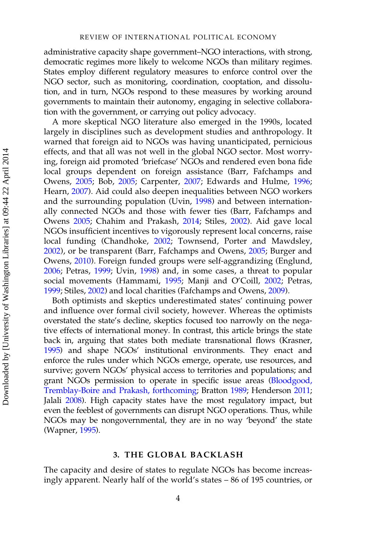administrative capacity shape government–NGO interactions, with strong, democratic regimes more likely to welcome NGOs than military regimes. States employ different regulatory measures to enforce control over the NGO sector, such as monitoring, coordination, cooptation, and dissolution, and in turn, NGOs respond to these measures by working around governments to maintain their autonomy, engaging in selective collaboration with the government, or carrying out policy advocacy.

A more skeptical NGO literature also emerged in the 1990s, located largely in disciplines such as development studies and anthropology. It warned that foreign aid to NGOs was having unanticipated, pernicious effects, and that all was not well in the global NGO sector. Most worrying, foreign aid promoted 'briefcase' NGOs and rendered even bona fide local groups dependent on foreign assistance (Barr, Fafchamps and Owens, [2005;](#page-32-1) Bob, [2005](#page-33-2); Carpenter, [2007](#page-33-3); Edwards and Hulme, [1996](#page-34-2); Hearn, [2007](#page-35-2)). Aid could also deepen inequalities between NGO workers and the surrounding population (Uvin, [1998\)](#page-37-4) and between internationally connected NGOs and those with fewer ties (Barr, Fafchamps and Owens [2005](#page-32-1); Chahim and Prakash, [2014;](#page-33-4) Stiles, [2002](#page-37-5)). Aid gave local NGOs insufficient incentives to vigorously represent local concerns, raise local funding (Chandhoke, [2002](#page-33-5); Townsend, Porter and Mawdsley, [2002\)](#page-37-6), or be transparent (Barr, Fafchamps and Owens, [2005](#page-32-1); Burger and Owens, [2010](#page-33-6)). Foreign funded groups were self-aggrandizing (Englund, [2006;](#page-34-3) Petras, [1999](#page-36-3); Uvin, [1998](#page-37-4)) and, in some cases, a threat to popular social movements (Hammami, [1995](#page-34-4); Manji and O'Coill, [2002](#page-35-8); Petras, [1999;](#page-36-3) Stiles, [2002\)](#page-37-5) and local charities (Fafchamps and Owens, [2009\)](#page-34-5).

Both optimists and skeptics underestimated states' continuing power and influence over formal civil society, however. Whereas the optimists overstated the state's decline, skeptics focused too narrowly on the negative effects of international money. In contrast, this article brings the state back in, arguing that states both mediate transnational flows (Krasner, [1995](#page-35-9)) and shape NGOs' institutional environments. They enact and enforce the rules under which NGOs emerge, operate, use resources, and survive; govern NGOs' physical access to territories and populations; and grant NGOs permission to operate in specific issue areas [\(Bloodgood,](#page-33-7) [Tremblay-Boire and Prakash, forthcoming](#page-33-7); Bratton [1989;](#page-33-1) Henderson [2011](#page-35-10); Jalali [2008](#page-35-11)). High capacity states have the most regulatory impact, but even the feeblest of governments can disrupt NGO operations. Thus, while NGOs may be nongovernmental, they are in no way 'beyond' the state (Wapner, [1995](#page-37-0)).

#### 3. THE GLOBAL BACKLASH

The capacity and desire of states to regulate NGOs has become increasingly apparent. Nearly half of the world's states – 86 of 195 countries, or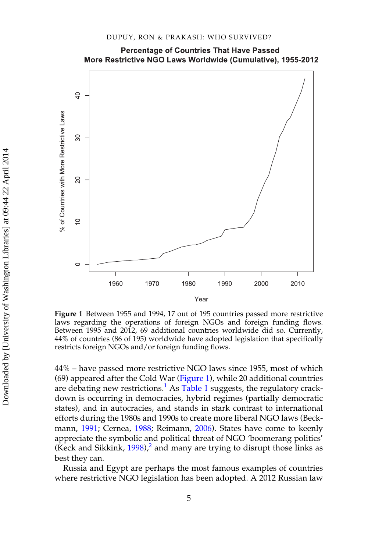

<span id="page-6-0"></span>

Figure 1 Between 1955 and 1994, 17 out of 195 countries passed more restrictive laws regarding the operations of foreign NGOs and foreign funding flows. Between 1995 and 2012, 69 additional countries worldwide did so. Currently, 44% of countries (86 of 195) worldwide have adopted legislation that specifically restricts foreign NGOs and/or foreign funding flows.

44% – have passed more restrictive NGO laws since 1955, most of which (69) appeared after the Cold War [\(Figure 1](#page-6-0)), while 20 additional countries are debating new restrictions.<sup>[1](#page-29-0)</sup> As [Table 1](#page-7-0) suggests, the regulatory crackdown is occurring in democracies, hybrid regimes (partially democratic states), and in autocracies, and stands in stark contrast to international efforts during the 1980s and 1990s to create more liberal NGO laws (Beck-mann, [1991;](#page-33-8) Cernea, [1988;](#page-33-9) Reimann, [2006\)](#page-36-2). States have come to keenly appreciate the symbolic and political threat of NGO 'boomerang politics' (Keck and Sikkink,  $1998$ ),<sup>[2](#page-29-1)</sup> and many are trying to disrupt those links as best they can.

Russia and Egypt are perhaps the most famous examples of countries where restrictive NGO legislation has been adopted. A 2012 Russian law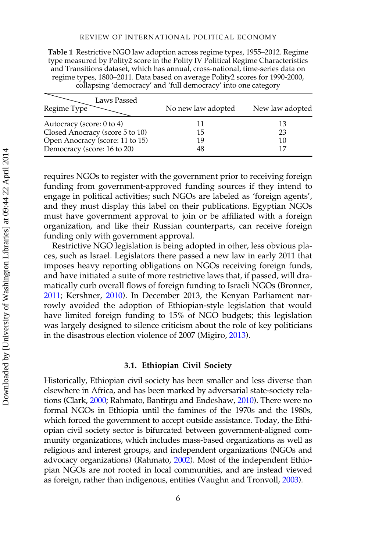<span id="page-7-0"></span>Table 1 Restrictive NGO law adoption across regime types, 1955–2012. Regime type measured by Polity2 score in the Polity IV Political Regime Characteristics and Transitions dataset, which has annual, cross-national, time-series data on regime types, 1800–2011. Data based on average Polity2 scores for 1990-2000, collapsing 'democracy' and 'full democracy' into one category

| Laws Passed<br>Regime Type      | No new law adopted | New law adopted |
|---------------------------------|--------------------|-----------------|
| Autocracy (score: 0 to 4)       |                    | 13              |
| Closed Anocracy (score 5 to 10) | 15                 | 23              |
| Open Anocracy (score: 11 to 15) | 19                 | 10              |
| Democracy (score: 16 to 20)     | 48                 |                 |

requires NGOs to register with the government prior to receiving foreign funding from government-approved funding sources if they intend to engage in political activities; such NGOs are labeled as 'foreign agents', and they must display this label on their publications. Egyptian NGOs must have government approval to join or be affiliated with a foreign organization, and like their Russian counterparts, can receive foreign funding only with government approval.

Restrictive NGO legislation is being adopted in other, less obvious places, such as Israel. Legislators there passed a new law in early 2011 that imposes heavy reporting obligations on NGOs receiving foreign funds, and have initiated a suite of more restrictive laws that, if passed, will dramatically curb overall flows of foreign funding to Israeli NGOs (Bronner, [2011;](#page-33-10) Kershner, [2010](#page-35-12)). In December 2013, the Kenyan Parliament narrowly avoided the adoption of Ethiopian-style legislation that would have limited foreign funding to 15% of NGO budgets; this legislation was largely designed to silence criticism about the role of key politicians in the disastrous election violence of 2007 (Migiro, [2013\)](#page-36-4).

## 3.1. Ethiopian Civil Society

Historically, Ethiopian civil society has been smaller and less diverse than elsewhere in Africa, and has been marked by adversarial state-society relations (Clark, [2000;](#page-33-11) Rahmato, Bantirgu and Endeshaw, [2010](#page-36-5)). There were no formal NGOs in Ethiopia until the famines of the 1970s and the 1980s, which forced the government to accept outside assistance. Today, the Ethiopian civil society sector is bifurcated between government-aligned community organizations, which includes mass-based organizations as well as religious and interest groups, and independent organizations (NGOs and advocacy organizations) (Rahmato, [2002\)](#page-36-6). Most of the independent Ethiopian NGOs are not rooted in local communities, and are instead viewed as foreign, rather than indigenous, entities (Vaughn and Tronvoll, [2003\)](#page-37-7).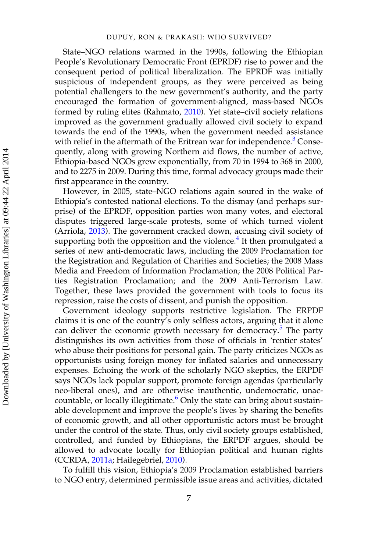State–NGO relations warmed in the 1990s, following the Ethiopian People's Revolutionary Democratic Front (EPRDF) rise to power and the consequent period of political liberalization. The EPRDF was initially suspicious of independent groups, as they were perceived as being potential challengers to the new government's authority, and the party encouraged the formation of government-aligned, mass-based NGOs formed by ruling elites (Rahmato, [2010\)](#page-36-7). Yet state–civil society relations improved as the government gradually allowed civil society to expand towards the end of the 1990s, when the government needed assistance with relief in the aftermath of the Eritrean war for independence.<sup>[3](#page-29-2)</sup> Consequently, along with growing Northern aid flows, the number of active, Ethiopia-based NGOs grew exponentially, from 70 in 1994 to 368 in 2000, and to 2275 in 2009. During this time, formal advocacy groups made their first appearance in the country.

However, in 2005, state–NGO relations again soured in the wake of Ethiopia's contested national elections. To the dismay (and perhaps surprise) of the EPRDF, opposition parties won many votes, and electoral disputes triggered large-scale protests, some of which turned violent (Arriola, [2013\)](#page-32-2). The government cracked down, accusing civil society of supporting both the opposition and the violence. $4$  It then promulgated a series of new anti-democratic laws, including the 2009 Proclamation for the Registration and Regulation of Charities and Societies; the 2008 Mass Media and Freedom of Information Proclamation; the 2008 Political Parties Registration Proclamation; and the 2009 Anti-Terrorism Law. Together, these laws provided the government with tools to focus its repression, raise the costs of dissent, and punish the opposition.

Government ideology supports restrictive legislation. The ERPDF claims it is one of the country's only selfless actors, arguing that it alone can deliver the economic growth necessary for democracy.<sup>[5](#page-29-4)</sup> The party distinguishes its own activities from those of officials in 'rentier states' who abuse their positions for personal gain. The party criticizes NGOs as opportunists using foreign money for inflated salaries and unnecessary expenses. Echoing the work of the scholarly NGO skeptics, the ERPDF says NGOs lack popular support, promote foreign agendas (particularly neo-liberal ones), and are otherwise inauthentic, undemocratic, unac-countable, or locally illegitimate.<sup>[6](#page-29-5)</sup> Only the state can bring about sustainable development and improve the people's lives by sharing the benefits of economic growth, and all other opportunistic actors must be brought under the control of the state. Thus, only civil society groups established, controlled, and funded by Ethiopians, the ERPDF argues, should be allowed to advocate locally for Ethiopian political and human rights (CCRDA, [2011a](#page-33-12); Hailegebriel, [2010](#page-34-6)).

To fulfill this vision, Ethiopia's 2009 Proclamation established barriers to NGO entry, determined permissible issue areas and activities, dictated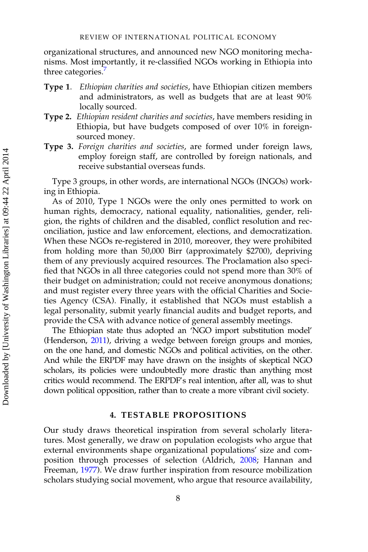organizational structures, and announced new NGO monitoring mechanisms. Most importantly, it re-classified NGOs working in Ethiopia into three categories.<sup>[7](#page-29-6)</sup>

- **Type 1.** Ethiopian charities and societies, have Ethiopian citizen members and administrators, as well as budgets that are at least 90% locally sourced.
- Type 2. Ethiopian resident charities and societies, have members residing in Ethiopia, but have budgets composed of over 10% in foreignsourced money.
- Type 3. Foreign charities and societies, are formed under foreign laws, employ foreign staff, are controlled by foreign nationals, and receive substantial overseas funds.

Type 3 groups, in other words, are international NGOs (INGOs) working in Ethiopia.

As of 2010, Type 1 NGOs were the only ones permitted to work on human rights, democracy, national equality, nationalities, gender, religion, the rights of children and the disabled, conflict resolution and reconciliation, justice and law enforcement, elections, and democratization. When these NGOs re-registered in 2010, moreover, they were prohibited from holding more than 50,000 Birr (approximately \$2700), depriving them of any previously acquired resources. The Proclamation also specified that NGOs in all three categories could not spend more than 30% of their budget on administration; could not receive anonymous donations; and must register every three years with the official Charities and Societies Agency (CSA). Finally, it established that NGOs must establish a legal personality, submit yearly financial audits and budget reports, and provide the CSA with advance notice of general assembly meetings.

The Ethiopian state thus adopted an 'NGO import substitution model' (Henderson, [2011](#page-35-10)), driving a wedge between foreign groups and monies, on the one hand, and domestic NGOs and political activities, on the other. And while the ERPDF may have drawn on the insights of skeptical NGO scholars, its policies were undoubtedly more drastic than anything most critics would recommend. The ERPDF's real intention, after all, was to shut down political opposition, rather than to create a more vibrant civil society.

#### 4. TESTABLE PROPOSITIONS

Our study draws theoretical inspiration from several scholarly literatures. Most generally, we draw on population ecologists who argue that external environments shape organizational populations' size and composition through processes of selection (Aldrich, [2008;](#page-32-3) Hannan and Freeman, [1977\)](#page-34-0). We draw further inspiration from resource mobilization scholars studying social movement, who argue that resource availability,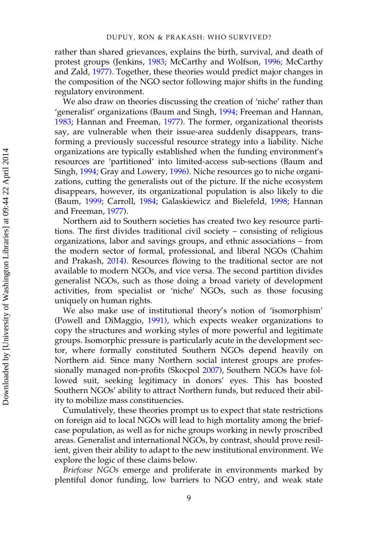rather than shared grievances, explains the birth, survival, and death of protest groups (Jenkins, [1983](#page-35-13); McCarthy and Wolfson, [1996;](#page-35-14) McCarthy and Zald, [1977](#page-36-8)). Together, these theories would predict major changes in the composition of the NGO sector following major shifts in the funding regulatory environment.

We also draw on theories discussing the creation of 'niche' rather than 'generalist' organizations (Baum and Singh, [1994](#page-33-13); Freeman and Hannan, [1983;](#page-34-7) Hannan and Freeman, [1977\)](#page-34-0). The former, organizational theorists say, are vulnerable when their issue-area suddenly disappears, transforming a previously successful resource strategy into a liability. Niche organizations are typically established when the funding environment's resources are 'partitioned' into limited-access sub-sections (Baum and Singh, [1994;](#page-33-13) Gray and Lowery, [1996](#page-34-8)). Niche resources go to niche organizations, cutting the generalists out of the picture. If the niche ecosystem disappears, however, its organizational population is also likely to die (Baum, [1999](#page-33-14); Carroll, [1984;](#page-33-15) Galaskiewicz and Bielefeld, [1998;](#page-34-9) Hannan and Freeman, [1977\)](#page-34-0).

Northern aid to Southern societies has created two key resource partitions. The first divides traditional civil society – consisting of religious organizations, labor and savings groups, and ethnic associations – from the modern sector of formal, professional, and liberal NGOs (Chahim and Prakash, [2014\)](#page-33-4). Resources flowing to the traditional sector are not available to modern NGOs, and vice versa. The second partition divides generalist NGOs, such as those doing a broad variety of development activities, from specialist or 'niche' NGOs, such as those focusing uniquely on human rights.

We also make use of institutional theory's notion of 'isomorphism' (Powell and DiMaggio, [1991\)](#page-36-9), which expects weaker organizations to copy the structures and working styles of more powerful and legitimate groups. Isomorphic pressure is particularly acute in the development sector, where formally constituted Southern NGOs depend heavily on Northern aid. Since many Northern social interest groups are professionally managed non-profits (Skocpol [2007\)](#page-37-8), Southern NGOs have followed suit, seeking legitimacy in donors' eyes. This has boosted Southern NGOs' ability to attract Northern funds, but reduced their ability to mobilize mass constituencies.

Cumulatively, these theories prompt us to expect that state restrictions on foreign aid to local NGOs will lead to high mortality among the briefcase population, as well as for niche groups working in newly proscribed areas. Generalist and international NGOs, by contrast, should prove resilient, given their ability to adapt to the new institutional environment. We explore the logic of these claims below.

Briefcase NGOs emerge and proliferate in environments marked by plentiful donor funding, low barriers to NGO entry, and weak state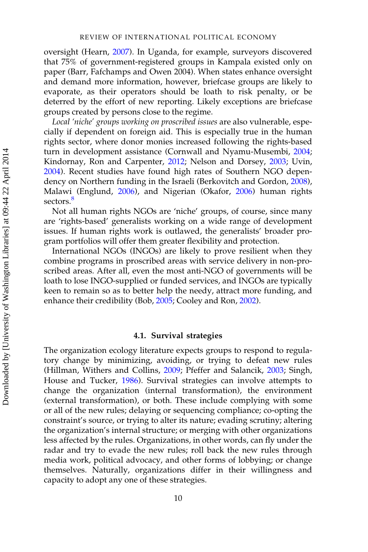oversight (Hearn, [2007](#page-35-2)). In Uganda, for example, surveyors discovered that 75% of government-registered groups in Kampala existed only on paper (Barr, Fafchamps and Owen 2004). When states enhance oversight and demand more information, however, briefcase groups are likely to evaporate, as their operators should be loath to risk penalty, or be deterred by the effort of new reporting. Likely exceptions are briefcase groups created by persons close to the regime.

Local 'niche' groups working on proscribed issues are also vulnerable, especially if dependent on foreign aid. This is especially true in the human rights sector, where donor monies increased following the rights-based turn in development assistance (Cornwall and Nyamu-Musembi, [2004](#page-34-10); Kindornay, Ron and Carpenter, [2012](#page-35-1); Nelson and Dorsey, [2003](#page-36-0); Uvin, [2004\)](#page-37-9). Recent studies have found high rates of Southern NGO dependency on Northern funding in the Israeli (Berkovitch and Gordon, [2008\)](#page-33-16), Malawi (Englund, [2006\)](#page-34-3), and Nigerian (Okafor, [2006\)](#page-36-10) human rights sectors.<sup>[8](#page-29-7)</sup>

Not all human rights NGOs are 'niche' groups, of course, since many are 'rights-based' generalists working on a wide range of development issues. If human rights work is outlawed, the generalists' broader program portfolios will offer them greater flexibility and protection.

International NGOs (INGOs) are likely to prove resilient when they combine programs in proscribed areas with service delivery in non-proscribed areas. After all, even the most anti-NGO of governments will be loath to lose INGO-supplied or funded services, and INGOs are typically keen to remain so as to better help the needy, attract more funding, and enhance their credibility (Bob, [2005;](#page-33-2) Cooley and Ron, [2002](#page-33-17)).

#### 4.1. Survival strategies

The organization ecology literature expects groups to respond to regulatory change by minimizing, avoiding, or trying to defeat new rules (Hillman, Withers and Collins, [2009](#page-35-15); Pfeffer and Salancik, [2003](#page-36-11); Singh, House and Tucker, [1986](#page-37-10)). Survival strategies can involve attempts to change the organization (internal transformation), the environment (external transformation), or both. These include complying with some or all of the new rules; delaying or sequencing compliance; co-opting the constraint's source, or trying to alter its nature; evading scrutiny; altering the organization's internal structure; or merging with other organizations less affected by the rules. Organizations, in other words, can fly under the radar and try to evade the new rules; roll back the new rules through media work, political advocacy, and other forms of lobbying; or change themselves. Naturally, organizations differ in their willingness and capacity to adopt any one of these strategies.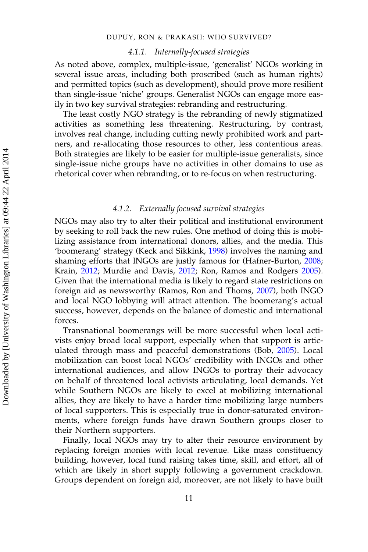#### 4.1.1. Internally-focused strategies

As noted above, complex, multiple-issue, 'generalist' NGOs working in several issue areas, including both proscribed (such as human rights) and permitted topics (such as development), should prove more resilient than single-issue 'niche' groups. Generalist NGOs can engage more easily in two key survival strategies: rebranding and restructuring.

The least costly NGO strategy is the rebranding of newly stigmatized activities as something less threatening. Restructuring, by contrast, involves real change, including cutting newly prohibited work and partners, and re-allocating those resources to other, less contentious areas. Both strategies are likely to be easier for multiple-issue generalists, since single-issue niche groups have no activities in other domains to use as rhetorical cover when rebranding, or to re-focus on when restructuring.

#### 4.1.2. Externally focused survival strategies

NGOs may also try to alter their political and institutional environment by seeking to roll back the new rules. One method of doing this is mobilizing assistance from international donors, allies, and the media. This 'boomerang' strategy (Keck and Sikkink, [1998\)](#page-35-5) involves the naming and shaming efforts that INGOs are justly famous for (Hafner-Burton, [2008](#page-34-11); Krain, [2012](#page-35-16); Murdie and Davis, [2012;](#page-36-12) Ron, Ramos and Rodgers [2005\)](#page-37-3). Given that the international media is likely to regard state restrictions on foreign aid as newsworthy (Ramos, Ron and Thoms, [2007\)](#page-36-13), both INGO and local NGO lobbying will attract attention. The boomerang's actual success, however, depends on the balance of domestic and international forces.

Transnational boomerangs will be more successful when local activists enjoy broad local support, especially when that support is articulated through mass and peaceful demonstrations (Bob, [2005\)](#page-33-2). Local mobilization can boost local NGOs' credibility with INGOs and other international audiences, and allow INGOs to portray their advocacy on behalf of threatened local activists articulating, local demands. Yet while Southern NGOs are likely to excel at mobilizing international allies, they are likely to have a harder time mobilizing large numbers of local supporters. This is especially true in donor-saturated environments, where foreign funds have drawn Southern groups closer to their Northern supporters.

Finally, local NGOs may try to alter their resource environment by replacing foreign monies with local revenue. Like mass constituency building, however, local fund raising takes time, skill, and effort, all of which are likely in short supply following a government crackdown. Groups dependent on foreign aid, moreover, are not likely to have built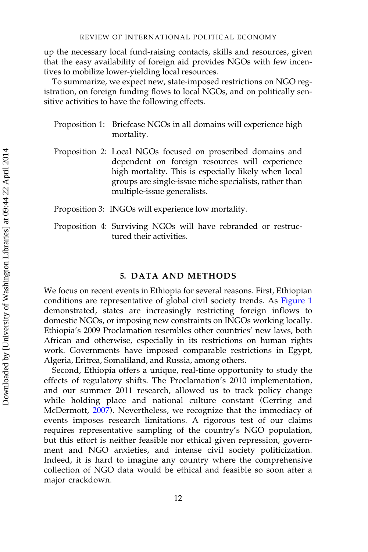up the necessary local fund-raising contacts, skills and resources, given that the easy availability of foreign aid provides NGOs with few incentives to mobilize lower-yielding local resources.

To summarize, we expect new, state-imposed restrictions on NGO registration, on foreign funding flows to local NGOs, and on politically sensitive activities to have the following effects.

- Proposition 1: Briefcase NGOs in all domains will experience high mortality.
- Proposition 2: Local NGOs focused on proscribed domains and dependent on foreign resources will experience high mortality. This is especially likely when local groups are single-issue niche specialists, rather than multiple-issue generalists.

Proposition 3: INGOs will experience low mortality.

Proposition 4: Surviving NGOs will have rebranded or restructured their activities.

#### 5. DATA AND METHODS

We focus on recent events in Ethiopia for several reasons. First, Ethiopian conditions are representative of global civil society trends. As [Figure 1](#page-6-0) demonstrated, states are increasingly restricting foreign inflows to domestic NGOs, or imposing new constraints on INGOs working locally. Ethiopia's 2009 Proclamation resembles other countries' new laws, both African and otherwise, especially in its restrictions on human rights work. Governments have imposed comparable restrictions in Egypt, Algeria, Eritrea, Somaliland, and Russia, among others.

Second, Ethiopia offers a unique, real-time opportunity to study the effects of regulatory shifts. The Proclamation's 2010 implementation, and our summer 2011 research, allowed us to track policy change while holding place and national culture constant (Gerring and McDermott, [2007\)](#page-34-12). Nevertheless, we recognize that the immediacy of events imposes research limitations. A rigorous test of our claims requires representative sampling of the country's NGO population, but this effort is neither feasible nor ethical given repression, government and NGO anxieties, and intense civil society politicization. Indeed, it is hard to imagine any country where the comprehensive collection of NGO data would be ethical and feasible so soon after a major crackdown.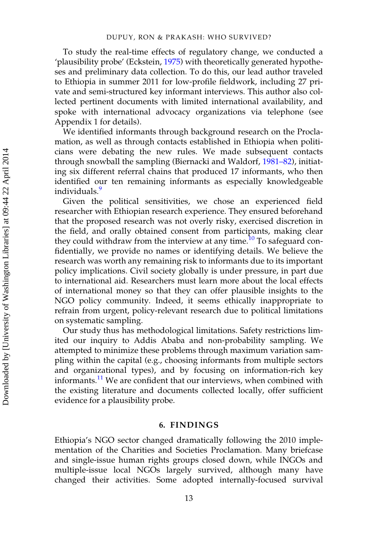To study the real-time effects of regulatory change, we conducted a 'plausibility probe' (Eckstein, [1975\)](#page-34-1) with theoretically generated hypotheses and preliminary data collection. To do this, our lead author traveled to Ethiopia in summer 2011 for low-profile fieldwork, including 27 private and semi-structured key informant interviews. This author also collected pertinent documents with limited international availability, and spoke with international advocacy organizations via telephone (see Appendix 1 for details).

We identified informants through background research on the Proclamation, as well as through contacts established in Ethiopia when politicians were debating the new rules. We made subsequent contacts through snowball the sampling (Biernacki and Waldorf, [1981–82\)](#page-33-18), initiating six different referral chains that produced 17 informants, who then identified our ten remaining informants as especially knowledgeable individuals.<sup>[9](#page-29-8)</sup>

Given the political sensitivities, we chose an experienced field researcher with Ethiopian research experience. They ensured beforehand that the proposed research was not overly risky, exercised discretion in the field, and orally obtained consent from participants, making clear they could withdraw from the interview at any time.<sup>[10](#page-29-9)</sup> To safeguard confidentially, we provide no names or identifying details. We believe the research was worth any remaining risk to informants due to its important policy implications. Civil society globally is under pressure, in part due to international aid. Researchers must learn more about the local effects of international money so that they can offer plausible insights to the NGO policy community. Indeed, it seems ethically inappropriate to refrain from urgent, policy-relevant research due to political limitations on systematic sampling.

Our study thus has methodological limitations. Safety restrictions limited our inquiry to Addis Ababa and non-probability sampling. We attempted to minimize these problems through maximum variation sampling within the capital (e.g., choosing informants from multiple sectors and organizational types), and by focusing on information-rich key informants.<sup>[11](#page-29-10)</sup> We are confident that our interviews, when combined with the existing literature and documents collected locally, offer sufficient evidence for a plausibility probe.

#### 6. FINDINGS

Ethiopia's NGO sector changed dramatically following the 2010 implementation of the Charities and Societies Proclamation. Many briefcase and single-issue human rights groups closed down, while INGOs and multiple-issue local NGOs largely survived, although many have changed their activities. Some adopted internally-focused survival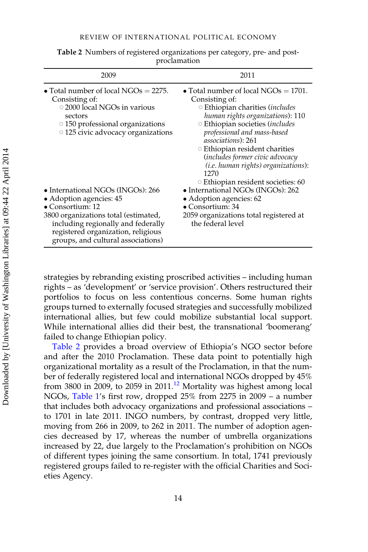<span id="page-15-0"></span>

| 2009                                                                                                                                                                                                                                               | 2011                                                                                                                                                                                                                                                                                                                                                                                                                        |
|----------------------------------------------------------------------------------------------------------------------------------------------------------------------------------------------------------------------------------------------------|-----------------------------------------------------------------------------------------------------------------------------------------------------------------------------------------------------------------------------------------------------------------------------------------------------------------------------------------------------------------------------------------------------------------------------|
| • Total number of local $NGOs = 2275$ .<br>Consisting of:<br>$\circ$ 2000 local NGOs in various<br>sectors<br>o 150 professional organizations<br>o 125 civic advocacy organizations                                                               | • Total number of local NGOs $= 1701$ .<br>Consisting of:<br>$\circ$ Ethiopian charities ( <i>includes</i><br>human rights organizations): 110<br><b>C</b> Ethiopian societies (includes<br>professional and mass-based<br>associations): 261<br>○ Ethiopian resident charities<br><i>(includes former civic advocacy</i><br><i>(i.e. human rights)</i> organizations):<br>1270<br>$\circ$ Ethiopian resident societies: 60 |
| • International NGOs (INGOs): 266<br>• Adoption agencies: 45<br>$\bullet$ Consortium: 12<br>3800 organizations total (estimated,<br>including regionally and federally<br>registered organization, religious<br>groups, and cultural associations) | • International NGOs (INGOs): 262<br>• Adoption agencies: 62<br>$\bullet$ Consortium: 34<br>2059 organizations total registered at<br>the federal level                                                                                                                                                                                                                                                                     |

Table 2 Numbers of registered organizations per category, pre- and postproclamation

strategies by rebranding existing proscribed activities – including human rights – as 'development' or 'service provision'. Others restructured their portfolios to focus on less contentious concerns. Some human rights groups turned to externally focused strategies and successfully mobilized international allies, but few could mobilize substantial local support. While international allies did their best, the transnational 'boomerang' failed to change Ethiopian policy.

[Table 2](#page-15-0) provides a broad overview of Ethiopia's NGO sector before and after the 2010 Proclamation. These data point to potentially high organizational mortality as a result of the Proclamation, in that the number of federally registered local and international NGOs dropped by 45% from 3800 in 2009, to 2059 in 2011.<sup>[12](#page-30-0)</sup> Mortality was highest among local NGOs, [Table 1'](#page-7-0)s first row, dropped 25% from 2275 in 2009 – a number that includes both advocacy organizations and professional associations – to 1701 in late 2011. INGO numbers, by contrast, dropped very little, moving from 266 in 2009, to 262 in 2011. The number of adoption agencies decreased by 17, whereas the number of umbrella organizations increased by 22, due largely to the Proclamation's prohibition on NGOs of different types joining the same consortium. In total, 1741 previously registered groups failed to re-register with the official Charities and Societies Agency.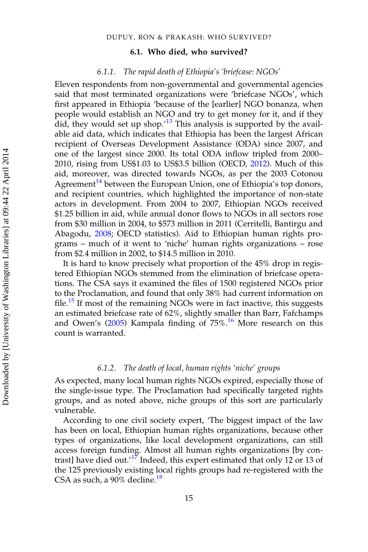#### 6.1. Who died, who survived?

#### 6.1.1. The rapid death of Ethiopia's 'briefcase: NGOs'

Eleven respondents from non-governmental and governmental agencies said that most terminated organizations were 'briefcase NGOs', which first appeared in Ethiopia 'because of the [earlier] NGO bonanza, when people would establish an NGO and try to get money for it, and if they  $\overline{d}$ id, they would set up shop.<sup>[13](#page-30-1)</sup> This analysis is supported by the available aid data, which indicates that Ethiopia has been the largest African recipient of Overseas Development Assistance (ODA) since 2007, and one of the largest since 2000. Its total ODA inflow tripled from 2000– 2010, rising from US\$1.03 to US\$3.5 billion (OECD, [2012](#page-36-14)). Much of this aid, moreover, was directed towards NGOs, as per the 2003 Cotonou Agreement<sup>[14](#page-30-2)</sup> between the European Union, one of Ethiopia's top donors, and recipient countries, which highlighted the importance of non-state actors in development. From 2004 to 2007, Ethiopian NGOs received \$1.25 billion in aid, while annual donor flows to NGOs in all sectors rose from \$30 million in 2004, to \$573 million in 2011 (Cerritelli, Bantirgu and Abagodu, [2008;](#page-33-19) OECD statistics). Aid to Ethiopian human rights programs – much of it went to 'niche' human rights organizations – rose from \$2.4 million in 2002, to \$14.5 million in 2010.

It is hard to know precisely what proportion of the 45% drop in registered Ethiopian NGOs stemmed from the elimination of briefcase operations. The CSA says it examined the files of 1500 registered NGOs prior to the Proclamation, and found that only 38% had current information on file.<sup>[15](#page-30-3)</sup> If most of the remaining NGOs were in fact inactive, this suggests an estimated briefcase rate of 62%, slightly smaller than Barr, Fafchamps and Owen's [\(2005](#page-32-1)) Kampala finding of 75%.<sup>[16](#page-30-4)</sup> More research on this count is warranted.

## 6.1.2. The death of local, human rights 'niche' groups

As expected, many local human rights NGOs expired, especially those of the single-issue type. The Proclamation had specifically targeted rights groups, and as noted above, niche groups of this sort are particularly vulnerable.

According to one civil society expert, 'The biggest impact of the law has been on local, Ethiopian human rights organizations, because other types of organizations, like local development organizations, can still access foreign funding. Almost all human rights organizations [by con-trast] have died out.<sup>'[17](#page-30-5)</sup> Indeed, this expert estimated that only 12 or 13 of the 125 previously existing local rights groups had re-registered with the CSA as such, a  $90\%$  decline.<sup>[18](#page-30-6)</sup>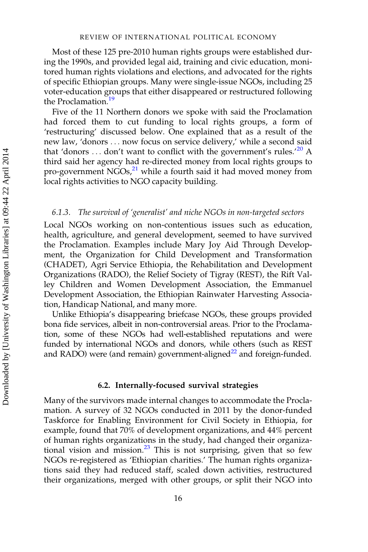Most of these 125 pre-2010 human rights groups were established during the 1990s, and provided legal aid, training and civic education, monitored human rights violations and elections, and advocated for the rights of specific Ethiopian groups. Many were single-issue NGOs, including 25 voter-education groups that either disappeared or restructured following the Proclamation.<sup>19</sup>

Five of the 11 Northern donors we spoke with said the Proclamation had forced them to cut funding to local rights groups, a form of 'restructuring' discussed below. One explained that as a result of the new law, 'donors ... now focus on service delivery,' while a second said that 'donors ... don't want to conflict with the government's rules.<sup>'[20](#page-30-8)</sup> A third said her agency had re-directed money from local rights groups to pro-government  $\overline{\text{NGOs}}_i^{21}$  $\overline{\text{NGOs}}_i^{21}$  $\overline{\text{NGOs}}_i^{21}$  while a fourth said it had moved money from local rights activities to NGO capacity building.

## 6.1.3. The survival of 'generalist' and niche NGOs in non-targeted sectors

Local NGOs working on non-contentious issues such as education, health, agriculture, and general development, seemed to have survived the Proclamation. Examples include Mary Joy Aid Through Development, the Organization for Child Development and Transformation (CHADET), Agri Service Ethiopia, the Rehabilitation and Development Organizations (RADO), the Relief Society of Tigray (REST), the Rift Valley Children and Women Development Association, the Emmanuel Development Association, the Ethiopian Rainwater Harvesting Association, Handicap National, and many more.

Unlike Ethiopia's disappearing briefcase NGOs, these groups provided bona fide services, albeit in non-controversial areas. Prior to the Proclamation, some of these NGOs had well-established reputations and were funded by international NGOs and donors, while others (such as REST and RADO) were (and remain) government-aligned $^{22}$  $^{22}$  $^{22}$  and foreign-funded.

#### 6.2. Internally-focused survival strategies

Many of the survivors made internal changes to accommodate the Proclamation. A survey of 32 NGOs conducted in 2011 by the donor-funded Taskforce for Enabling Environment for Civil Society in Ethiopia, for example, found that 70% of development organizations, and 44% percent of human rights organizations in the study, had changed their organiza-tional vision and mission.<sup>[23](#page-30-11)</sup> This is not surprising, given that so few NGOs re-registered as 'Ethiopian charities.' The human rights organizations said they had reduced staff, scaled down activities, restructured their organizations, merged with other groups, or split their NGO into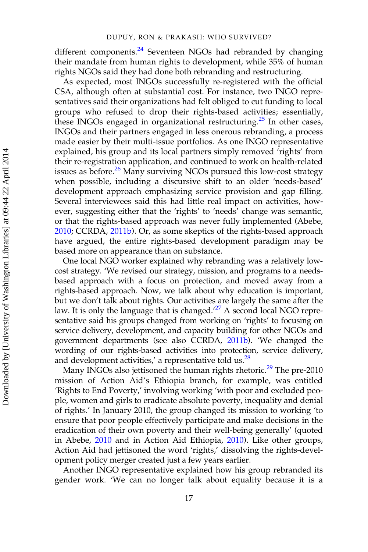different components.<sup>[24](#page-30-12)</sup> Seventeen NGOs had rebranded by changing their mandate from human rights to development, while 35% of human rights NGOs said they had done both rebranding and restructuring.

As expected, most INGOs successfully re-registered with the official CSA, although often at substantial cost. For instance, two INGO representatives said their organizations had felt obliged to cut funding to local groups who refused to drop their rights-based activities; essentially, these INGOs engaged in organizational restructuring.<sup>25</sup> In other cases, INGOs and their partners engaged in less onerous rebranding, a process made easier by their multi-issue portfolios. As one INGO representative explained, his group and its local partners simply removed 'rights' from their re-registration application, and continued to work on health-related issues as before.<sup>[26](#page-31-1)</sup> Many surviving NGOs pursued this low-cost strategy when possible, including a discursive shift to an older 'needs-based' development approach emphasizing service provision and gap filling. Several interviewees said this had little real impact on activities, however, suggesting either that the 'rights' to 'needs' change was semantic, or that the rights-based approach was never fully implemented (Abebe, [2010;](#page-32-4) CCRDA, [2011b](#page-34-13)). Or, as some skeptics of the rights-based approach have argued, the entire rights-based development paradigm may be based more on appearance than on substance.

One local NGO worker explained why rebranding was a relatively lowcost strategy. 'We revised our strategy, mission, and programs to a needsbased approach with a focus on protection, and moved away from a rights-based approach. Now, we talk about why education is important, but we don't talk about rights. Our activities are largely the same after the law. It is only the language that is changed. $\frac{27}{7}$  A second local NGO representative said his groups changed from working on 'rights' to focusing on service delivery, development, and capacity building for other NGOs and government departments (see also CCRDA, [2011b](#page-34-13)). 'We changed the wording of our rights-based activities into protection, service delivery, and development activities,' a representative told us.<sup>[28](#page-31-3)</sup>

Many INGOs also jettisoned the human rights rhetoric.<sup>[29](#page-31-4)</sup> The pre-2010 mission of Action Aid's Ethiopia branch, for example, was entitled 'Rights to End Poverty,' involving working 'with poor and excluded people, women and girls to eradicate absolute poverty, inequality and denial of rights.' In January 2010, the group changed its mission to working 'to ensure that poor people effectively participate and make decisions in the eradication of their own poverty and their well-being generally' (quoted in Abebe, [2010](#page-32-4) and in Action Aid Ethiopia, [2010](#page-32-5)). Like other groups, Action Aid had jettisoned the word 'rights,' dissolving the rights-development policy merger created just a few years earlier.

Another INGO representative explained how his group rebranded its gender work. 'We can no longer talk about equality because it is a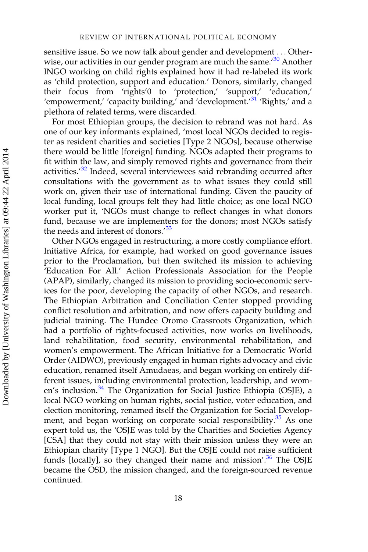sensitive issue. So we now talk about gender and development ... Other-wise, our activities in our gender program are much the same.<sup>'[30](#page-31-5)</sup> Another INGO working on child rights explained how it had re-labeled its work as 'child protection, support and education.' Donors, similarly, changed their focus from 'rights'0 to 'protection,' 'support,' 'education,' 'empowerment,' 'capacity building,' and 'development.'<sup>[31](#page-31-6)</sup> 'Rights,' and a plethora of related terms, were discarded.

For most Ethiopian groups, the decision to rebrand was not hard. As one of our key informants explained, 'most local NGOs decided to register as resident charities and societies [Type 2 NGOs], because otherwise there would be little [foreign] funding. NGOs adapted their programs to fit within the law, and simply removed rights and governance from their activities.<sup>[32](#page-31-7)</sup> Indeed, several interviewees said rebranding occurred after consultations with the government as to what issues they could still work on, given their use of international funding. Given the paucity of local funding, local groups felt they had little choice; as one local NGO worker put it, 'NGOs must change to reflect changes in what donors fund, because we are implementers for the donors; most NGOs satisfy the needs and interest of donors.<sup>[33](#page-31-8)</sup>

Other NGOs engaged in restructuring, a more costly compliance effort. Initiative Africa, for example, had worked on good governance issues prior to the Proclamation, but then switched its mission to achieving 'Education For All.' Action Professionals Association for the People (APAP), similarly, changed its mission to providing socio-economic services for the poor, developing the capacity of other NGOs, and research. The Ethiopian Arbitration and Conciliation Center stopped providing conflict resolution and arbitration, and now offers capacity building and judicial training. The Hundee Oromo Grassroots Organization, which had a portfolio of rights-focused activities, now works on livelihoods, land rehabilitation, food security, environmental rehabilitation, and women's empowerment. The African Initiative for a Democratic World Order (AIDWO), previously engaged in human rights advocacy and civic education, renamed itself Amudaeas, and began working on entirely different issues, including environmental protection, leadership, and wom-en's inclusion.<sup>[34](#page-31-9)</sup> The Organization for Social Justice Ethiopia (OSJE), a local NGO working on human rights, social justice, voter education, and election monitoring, renamed itself the Organization for Social Develop-ment, and began working on corporate social responsibility.<sup>[35](#page-31-10)</sup> As one expert told us, the 'OSJE was told by the Charities and Societies Agency [CSA] that they could not stay with their mission unless they were an Ethiopian charity [Type 1 NGO]. But the OSJE could not raise sufficient funds [locally], so they changed their name and mission'.<sup>36</sup> The OSJE became the OSD, the mission changed, and the foreign-sourced revenue continued.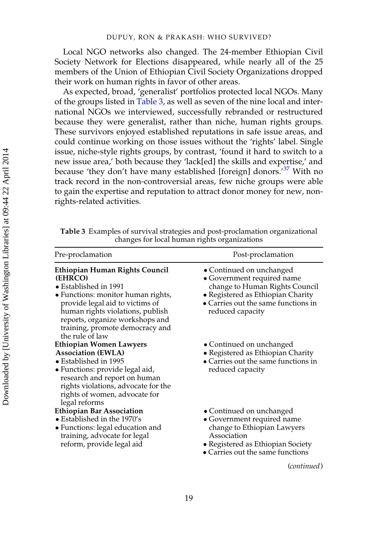Local NGO networks also changed. The 24-member Ethiopian Civil Society Network for Elections disappeared, while nearly all of the 25 members of the Union of Ethiopian Civil Society Organizations dropped their work on human rights in favor of other areas.

As expected, broad, 'generalist' portfolios protected local NGOs. Many of the groups listed in [Table 3](#page-20-0), as well as seven of the nine local and international NGOs we interviewed, successfully rebranded or restructured because they were generalist, rather than niche, human rights groups. These survivors enjoyed established reputations in safe issue areas, and could continue working on those issues without the 'rights' label. Single issue, niche-style rights groups, by contrast, 'found it hard to switch to a new issue area,' both because they 'lack[ed] the skills and expertise,' and because 'they don't have many established [foreign] donors.<sup>'[37](#page-31-12)</sup> With no track record in the non-controversial areas, few niche groups were able to gain the expertise and reputation to attract donor money for new, nonrights-related activities.

Table 3 Examples of survival strategies and post-proclamation organizational changes for local human rights organizations

<span id="page-20-0"></span>

| Pre-proclamation                                                                                                                                                                                                                                                         | Post-proclamation                                                                                                                                                                        |
|--------------------------------------------------------------------------------------------------------------------------------------------------------------------------------------------------------------------------------------------------------------------------|------------------------------------------------------------------------------------------------------------------------------------------------------------------------------------------|
| Ethiopian Human Rights Council<br>(EHRCO)<br>• Established in 1991<br>• Functions: monitor human rights,<br>provide legal aid to victims of<br>human rights violations, publish<br>reports, organize workshops and<br>training, promote democracy and<br>the rule of law | • Continued on unchanged<br>• Government required name<br>change to Human Rights Council<br>• Registered as Ethiopian Charity<br>• Carries out the same functions in<br>reduced capacity |
| <b>Ethiopian Women Lawyers</b><br><b>Association (EWLA)</b><br>$\bullet$ Established in 1995<br>· Functions: provide legal aid,<br>research and report on human<br>rights violations, advocate for the<br>rights of women, advocate for                                  | • Continued on unchanged<br>• Registered as Ethiopian Charity<br>• Carries out the same functions in<br>reduced capacity                                                                 |
| legal reforms<br><b>Ethiopian Bar Association</b><br>$\bullet$ Established in the 1970's<br>• Functions: legal education and<br>training, advocate for legal<br>reform, provide legal aid                                                                                | • Continued on unchanged<br>• Government required name<br>change to Ethiopian Lawyers<br>Association<br>• Registered as Ethiopian Society<br>• Carries out the same functions            |
|                                                                                                                                                                                                                                                                          | (continued)                                                                                                                                                                              |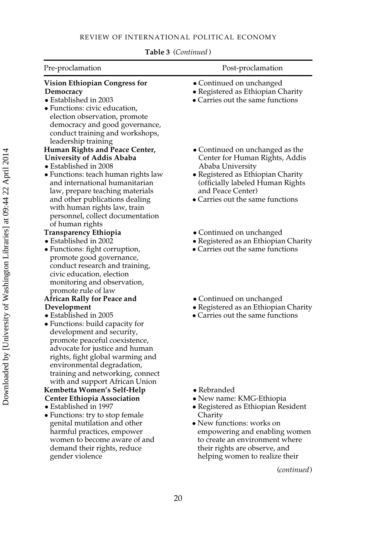Table 3 (Continued)

| Pre-proclamation                                                                                                                                                                                                              | Post-proclamation                                                                                                                                               |
|-------------------------------------------------------------------------------------------------------------------------------------------------------------------------------------------------------------------------------|-----------------------------------------------------------------------------------------------------------------------------------------------------------------|
| Vision Ethiopian Congress for<br>Democracy                                                                                                                                                                                    | • Continued on unchanged<br>$\bullet$ Registered as Ethiopian Charity                                                                                           |
| • Established in 2003<br>• Functions: civic education,<br>election observation, promote<br>democracy and good governance,<br>conduct training and workshops,<br>leadership training                                           | $\bullet$ Carries out the same functions                                                                                                                        |
| Human Rights and Peace Center,<br>University of Addis Ababa<br>• Established in 2008                                                                                                                                          | • Continued on unchanged as the<br>Center for Human Rights, Addis<br>Ababa University                                                                           |
| · Functions: teach human rights law<br>and international humanitarian<br>law, prepare teaching materials                                                                                                                      | • Registered as Ethiopian Charity<br>(officially labeled Human Rights<br>and Peace Center)                                                                      |
| and other publications dealing<br>with human rights law, train<br>personnel, collect documentation<br>of human rights                                                                                                         | • Carries out the same functions                                                                                                                                |
| <b>Transparency Ethiopia</b><br>• Established in 2002<br>· Functions: fight corruption,<br>promote good governance,                                                                                                           | • Continued on unchanged<br>• Registered as an Ethiopian Charity<br>• Carries out the same functions                                                            |
| conduct research and training,<br>civic education, election<br>monitoring and observation,                                                                                                                                    |                                                                                                                                                                 |
| promote rule of law<br>African Rally for Peace and<br>Development<br>• Established in 2005<br>• Functions: build capacity for<br>development and security,<br>promote peaceful coexistence,<br>advocate for justice and human | • Continued on unchanged<br>• Registered as an Ethiopian Charity<br>• Carries out the same functions                                                            |
| rights, fight global warming and<br>environmental degradation,<br>training and networking, connect<br>with and support African Union                                                                                          |                                                                                                                                                                 |
| Kembetta Women's Self-Help<br><b>Center Ethiopia Association</b><br>• Established in 1997<br>• Functions: try to stop female                                                                                                  | $\bullet$ Rebranded<br>· New name: KMG-Ethiopia<br>• Registered as Ethiopian Resident<br>Charity                                                                |
| genital mutilation and other<br>harmful practices, empower<br>women to become aware of and<br>demand their rights, reduce<br>gender violence                                                                                  | • New functions: works on<br>empowering and enabling women<br>to create an environment where<br>their rights are observe, and<br>helping women to realize their |
|                                                                                                                                                                                                                               | (continued)                                                                                                                                                     |
|                                                                                                                                                                                                                               |                                                                                                                                                                 |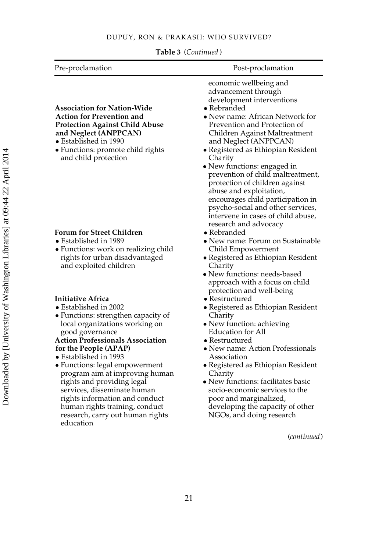Table 3 (Continued)

| Pre-proclamation                                                                                                                                                                                                                                                                                                                                                                                                                                                                                                 | Post-proclamation                                                                                                                                                                                                                                                                                                                                                                                                                                                                                                                        |
|------------------------------------------------------------------------------------------------------------------------------------------------------------------------------------------------------------------------------------------------------------------------------------------------------------------------------------------------------------------------------------------------------------------------------------------------------------------------------------------------------------------|------------------------------------------------------------------------------------------------------------------------------------------------------------------------------------------------------------------------------------------------------------------------------------------------------------------------------------------------------------------------------------------------------------------------------------------------------------------------------------------------------------------------------------------|
| <b>Association for Nation-Wide</b><br><b>Action for Prevention and</b><br><b>Protection Against Child Abuse</b><br>and Neglect (ANPPCAN)<br>$\bullet$ Established in 1990<br>• Functions: promote child rights<br>and child protection                                                                                                                                                                                                                                                                           | economic wellbeing and<br>advancement through<br>development interventions<br>$\bullet$ Rebranded<br>$\bullet$ New name: African Network for<br>Prevention and Protection of<br>Children Against Maltreatment<br>and Neglect (ANPPCAN)<br>• Registered as Ethiopian Resident<br>Charity<br>• New functions: engaged in<br>prevention of child maltreatment,<br>protection of children against<br>abuse and exploitation,<br>encourages child participation in<br>psycho-social and other services,<br>intervene in cases of child abuse, |
| Forum for Street Children<br>$\bullet$ Established in 1989<br>• Functions: work on realizing child<br>rights for urban disadvantaged<br>and exploited children                                                                                                                                                                                                                                                                                                                                                   | research and advocacy<br>$\bullet$ Rebranded<br>• New name: Forum on Sustainable<br>Child Empowerment<br>• Registered as Ethiopian Resident<br>Charity<br>· New functions: needs-based<br>approach with a focus on child                                                                                                                                                                                                                                                                                                                 |
| <b>Initiative Africa</b><br>$\bullet$ Established in 2002<br>• Functions: strengthen capacity of<br>local organizations working on<br>good governance<br><b>Action Professionals Association</b><br>for the People (APAP)<br>$\bullet$ Established in 1993<br>• Functions: legal empowerment<br>program aim at improving human<br>rights and providing legal<br>services, disseminate human<br>rights information and conduct<br>human rights training, conduct<br>research, carry out human rights<br>education | protection and well-being<br>$\bullet$ Restructured<br>• Registered as Ethiopian Resident<br>Charity<br>• New function: achieving<br>Education for All<br>$\bullet$ Restructured<br>• New name: Action Professionals<br>Association<br>• Registered as Ethiopian Resident<br>Charity<br>• New functions: facilitates basic<br>socio-economic services to the<br>poor and marginalized,<br>developing the capacity of other<br>NGOs, and doing research<br>(continued)                                                                    |
|                                                                                                                                                                                                                                                                                                                                                                                                                                                                                                                  |                                                                                                                                                                                                                                                                                                                                                                                                                                                                                                                                          |
|                                                                                                                                                                                                                                                                                                                                                                                                                                                                                                                  | 21                                                                                                                                                                                                                                                                                                                                                                                                                                                                                                                                       |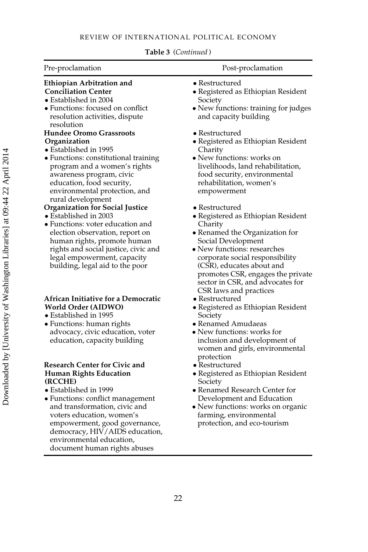|  | Table 3 (Continued) |
|--|---------------------|
|--|---------------------|

| Pre-proclamation                                                    | Post-proclamation                                              |
|---------------------------------------------------------------------|----------------------------------------------------------------|
| Ethiopian Arbitration and<br><b>Conciliation Center</b>             | • Restructured<br>· Registered as Ethiopian Resident           |
| • Established in 2004                                               | Society                                                        |
| • Functions: focused on conflict                                    | • New functions: training for judges                           |
| resolution activities, dispute                                      | and capacity building                                          |
| resolution                                                          |                                                                |
| Hundee Oromo Grassroots                                             | • Restructured                                                 |
| Organization<br>• Established in 1995                               | · Registered as Ethiopian Resident<br>Charity                  |
| • Functions: constitutional training                                | · New functions: works on                                      |
| program and a women's rights                                        | livelihoods, land rehabilitation,                              |
| awareness program, civic                                            | food security, environmental                                   |
| education, food security,                                           | rehabilitation, women's                                        |
| environmental protection, and                                       | empowerment                                                    |
| rural development                                                   |                                                                |
| <b>Organization for Social Justice</b>                              | $\bullet$ Restructured                                         |
| • Established in 2003                                               | · Registered as Ethiopian Resident                             |
| $\bullet$ Functions: voter education and                            | Charity                                                        |
| election observation, report on                                     | · Renamed the Organization for                                 |
| human rights, promote human<br>rights and social justice, civic and | Social Development<br>· New functions: researches              |
| legal empowerment, capacity                                         | corporate social responsibility                                |
| building, legal aid to the poor                                     | (CSR), educates about and                                      |
|                                                                     | promotes CSR, engages the private                              |
|                                                                     | sector in CSR, and advocates for                               |
|                                                                     | CSR laws and practices                                         |
| African Initiative for a Democratic                                 | $\bullet$ Restructured                                         |
| World Order (AIDWO)                                                 | · Registered as Ethiopian Resident                             |
| • Established in 1995                                               | Society                                                        |
| • Functions: human rights                                           | • Renamed Amudaeas                                             |
| advocacy, civic education, voter                                    | $\bullet$ New functions: works for                             |
| education, capacity building                                        | inclusion and development of<br>women and girls, environmental |
|                                                                     | protection                                                     |
| <b>Research Center for Civic and</b>                                | • Restructured                                                 |
| <b>Human Rights Education</b>                                       | · Registered as Ethiopian Resident                             |
| (RCCHE)                                                             | Society                                                        |
| • Established in 1999                                               | • Renamed Research Center for                                  |
| · Functions: conflict management                                    | Development and Education                                      |
| and transformation, civic and                                       | • New functions: works on organic                              |
| voters education, women's                                           | farming, environmental                                         |
| empowerment, good governance,                                       | protection, and eco-tourism                                    |
| democracy, HIV/AIDS education,<br>environmental education,          |                                                                |
| document human rights abuses                                        |                                                                |
|                                                                     |                                                                |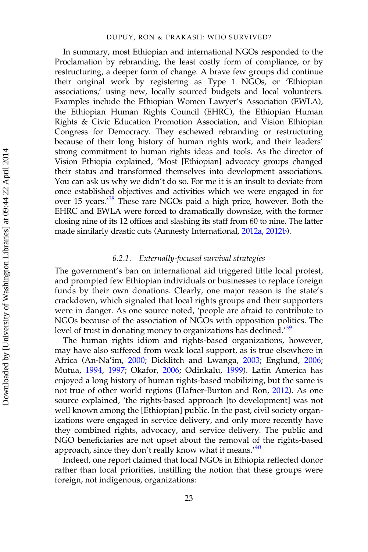In summary, most Ethiopian and international NGOs responded to the Proclamation by rebranding, the least costly form of compliance, or by restructuring, a deeper form of change. A brave few groups did continue their original work by registering as Type 1 NGOs, or 'Ethiopian associations,' using new, locally sourced budgets and local volunteers. Examples include the Ethiopian Women Lawyer's Association (EWLA), the Ethiopian Human Rights Council (EHRC), the Ethiopian Human Rights & Civic Education Promotion Association, and Vision Ethiopian Congress for Democracy. They eschewed rebranding or restructuring because of their long history of human rights work, and their leaders' strong commitment to human rights ideas and tools. As the director of Vision Ethiopia explained, 'Most [Ethiopian] advocacy groups changed their status and transformed themselves into development associations. You can ask us why we didn't do so. For me it is an insult to deviate from once established objectives and activities which we were engaged in for over 15 years.<sup>[38](#page-31-13)</sup> These rare NGOs paid a high price, however. Both the EHRC and EWLA were forced to dramatically downsize, with the former closing nine of its 12 offices and slashing its staff from 60 to nine. The latter made similarly drastic cuts (Amnesty International, [2012a,](#page-32-6) [2012b\)](#page-32-7).

#### 6.2.1. Externally-focused survival strategies

The government's ban on international aid triggered little local protest, and prompted few Ethiopian individuals or businesses to replace foreign funds by their own donations. Clearly, one major reason is the state's crackdown, which signaled that local rights groups and their supporters were in danger. As one source noted, 'people are afraid to contribute to NGOs because of the association of NGOs with opposition politics. The level of trust in donating money to organizations has declined.<sup>[39](#page-31-14)</sup>

The human rights idiom and rights-based organizations, however, may have also suffered from weak local support, as is true elsewhere in Africa (An-Na'im, [2000](#page-32-8); Dicklitch and Lwanga, [2003](#page-34-14); Englund, [2006](#page-34-3); Mutua, [1994,](#page-36-15) [1997](#page-36-16); Okafor, [2006;](#page-36-10) Odinkalu, [1999](#page-36-17)). Latin America has enjoyed a long history of human rights-based mobilizing, but the same is not true of other world regions (Hafner-Burton and Ron, [2012](#page-34-15)). As one source explained, 'the rights-based approach [to development] was not well known among the [Ethiopian] public. In the past, civil society organizations were engaged in service delivery, and only more recently have they combined rights, advocacy, and service delivery. The public and NGO beneficiaries are not upset about the removal of the rights-based approach, since they don't really know what it means.'<sup>[40](#page-31-15)</sup>

Indeed, one report claimed that local NGOs in Ethiopia reflected donor rather than local priorities, instilling the notion that these groups were foreign, not indigenous, organizations: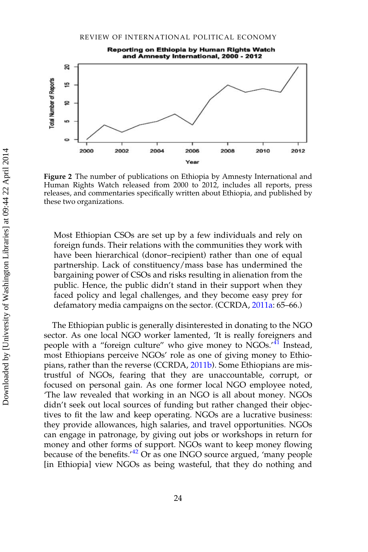<span id="page-25-0"></span>

Figure 2 The number of publications on Ethiopia by Amnesty International and Human Rights Watch released from 2000 to 2012, includes all reports, press releases, and commentaries specifically written about Ethiopia, and published by these two organizations.

Most Ethiopian CSOs are set up by a few individuals and rely on foreign funds. Their relations with the communities they work with have been hierarchical (donor–recipient) rather than one of equal partnership. Lack of constituency/mass base has undermined the bargaining power of CSOs and risks resulting in alienation from the public. Hence, the public didn't stand in their support when they faced policy and legal challenges, and they become easy prey for defamatory media campaigns on the sector. (CCRDA, [2011a](#page-33-12): 65–66.)

The Ethiopian public is generally disinterested in donating to the NGO sector. As one local NGO worker lamented, 'It is really foreigners and people with a "foreign culture" who give money to NGOs.<sup>'[41](#page-31-16)</sup> Instead, most Ethiopians perceive NGOs' role as one of giving money to Ethio-pians, rather than the reverse (CCRDA, [2011b\)](#page-34-13). Some Ethiopians are mistrustful of NGOs, fearing that they are unaccountable, corrupt, or focused on personal gain. As one former local NGO employee noted, 'The law revealed that working in an NGO is all about money. NGOs didn't seek out local sources of funding but rather changed their objectives to fit the law and keep operating. NGOs are a lucrative business: they provide allowances, high salaries, and travel opportunities. NGOs can engage in patronage, by giving out jobs or workshops in return for money and other forms of support. NGOs want to keep money flowing because of the benefits. $42$  Or as one INGO source argued, 'many people [in Ethiopia] view NGOs as being wasteful, that they do nothing and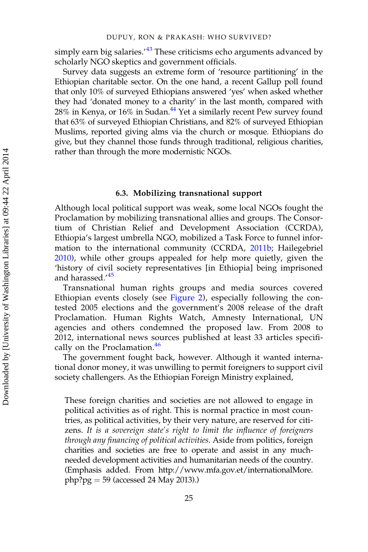simply earn big salaries.<sup> $43$ </sup> These criticisms echo arguments advanced by scholarly NGO skeptics and government officials.

Survey data suggests an extreme form of 'resource partitioning' in the Ethiopian charitable sector. On the one hand, a recent Gallup poll found that only 10% of surveyed Ethiopians answered 'yes' when asked whether they had 'donated money to a charity' in the last month, compared with 28% in Kenya, or 16% in Sudan.<sup>[44](#page-31-19)</sup> Yet a similarly recent Pew survey found that 63% of surveyed Ethiopian Christians, and 82% of surveyed Ethiopian Muslims, reported giving alms via the church or mosque. Ethiopians do give, but they channel those funds through traditional, religious charities, rather than through the more modernistic NGOs.

#### 6.3. Mobilizing transnational support

Although local political support was weak, some local NGOs fought the Proclamation by mobilizing transnational allies and groups. The Consortium of Christian Relief and Development Association (CCRDA), Ethiopia's largest umbrella NGO, mobilized a Task Force to funnel information to the international community (CCRDA, [2011b](#page-34-13); Hailegebriel [2010\)](#page-34-6), while other groups appealed for help more quietly, given the 'history of civil society representatives [in Ethiopia] being imprisoned and harassed.'<sup>[45](#page-31-20)</sup>

Transnational human rights groups and media sources covered Ethiopian events closely (see [Figure 2\)](#page-25-0), especially following the contested 2005 elections and the government's 2008 release of the draft Proclamation. Human Rights Watch, Amnesty International, UN agencies and others condemned the proposed law. From 2008 to 2012, international news sources published at least 33 articles specifi-cally on the Proclamation.<sup>[46](#page-31-21)</sup>

The government fought back, however. Although it wanted international donor money, it was unwilling to permit foreigners to support civil society challengers. As the Ethiopian Foreign Ministry explained,

These foreign charities and societies are not allowed to engage in political activities as of right. This is normal practice in most countries, as political activities, by their very nature, are reserved for citizens. It is a sovereign state's right to limit the influence of foreigners through any financing of political activities. Aside from politics, foreign charities and societies are free to operate and assist in any muchneeded development activities and humanitarian needs of the country. (Emphasis added. From [http://www.mfa.gov.et/internationalMore.](http://www.mfa.gov.et/internationalMore.php?pg) [php?pg](http://www.mfa.gov.et/internationalMore.php?pg)  $=$  59 (accessed 24 May 2013).)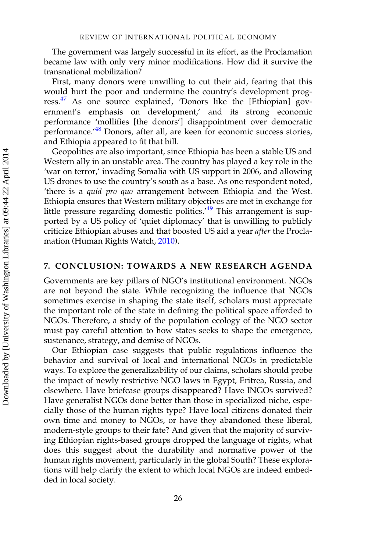The government was largely successful in its effort, as the Proclamation became law with only very minor modifications. How did it survive the transnational mobilization?

First, many donors were unwilling to cut their aid, fearing that this would hurt the poor and undermine the country's development prog-ress.<sup>[47](#page-31-22)</sup> As one source explained, 'Donors like the [Ethiopian] government's emphasis on development,' and its strong economic performance 'mollifies [the donors'] disappointment over democratic performance.<sup>[48](#page-31-23)</sup> Donors, after all, are keen for economic success stories, and Ethiopia appeared to fit that bill.

Geopolitics are also important, since Ethiopia has been a stable US and Western ally in an unstable area. The country has played a key role in the 'war on terror,' invading Somalia with US support in 2006, and allowing US drones to use the country's south as a base. As one respondent noted, 'there is a quid pro quo arrangement between Ethiopia and the West. Ethiopia ensures that Western military objectives are met in exchange for little pressure regarding domestic politics.<sup> $49$ </sup> This arrangement is supported by a US policy of 'quiet diplomacy' that is unwilling to publicly criticize Ethiopian abuses and that boosted US aid a year after the Proclamation (Human Rights Watch, [2010](#page-35-17)).

#### 7. CONCLUSION: TOWARDS A NEW RESEARCH AGENDA

Governments are key pillars of NGO's institutional environment. NGOs are not beyond the state. While recognizing the influence that NGOs sometimes exercise in shaping the state itself, scholars must appreciate the important role of the state in defining the political space afforded to NGOs. Therefore, a study of the population ecology of the NGO sector must pay careful attention to how states seeks to shape the emergence, sustenance, strategy, and demise of NGOs.

Our Ethiopian case suggests that public regulations influence the behavior and survival of local and international NGOs in predictable ways. To explore the generalizability of our claims, scholars should probe the impact of newly restrictive NGO laws in Egypt, Eritrea, Russia, and elsewhere. Have briefcase groups disappeared? Have INGOs survived? Have generalist NGOs done better than those in specialized niche, especially those of the human rights type? Have local citizens donated their own time and money to NGOs, or have they abandoned these liberal, modern-style groups to their fate? And given that the majority of surviving Ethiopian rights-based groups dropped the language of rights, what does this suggest about the durability and normative power of the human rights movement, particularly in the global South? These explorations will help clarify the extent to which local NGOs are indeed embedded in local society.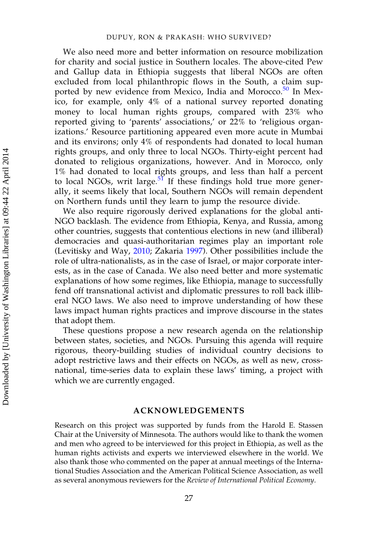We also need more and better information on resource mobilization for charity and social justice in Southern locales. The above-cited Pew and Gallup data in Ethiopia suggests that liberal NGOs are often excluded from local philanthropic flows in the South, a claim sup-ported by new evidence from Mexico, India and Morocco.<sup>[50](#page-31-25)</sup> In Mexico, for example, only 4% of a national survey reported donating money to local human rights groups, compared with 23% who reported giving to 'parents' associations,' or 22% to 'religious organizations.' Resource partitioning appeared even more acute in Mumbai and its environs; only 4% of respondents had donated to local human rights groups, and only three to local NGOs. Thirty-eight percent had donated to religious organizations, however. And in Morocco, only 1% had donated to local rights groups, and less than half a percent to local NGOs, writ large.<sup>[51](#page-32-9)</sup> If these findings hold true more generally, it seems likely that local, Southern NGOs will remain dependent on Northern funds until they learn to jump the resource divide.

We also require rigorously derived explanations for the global anti-NGO backlash. The evidence from Ethiopia, Kenya, and Russia, among other countries, suggests that contentious elections in new (and illiberal) democracies and quasi-authoritarian regimes play an important role (Levitisky and Way, [2010](#page-35-18); Zakaria [1997\)](#page-37-11). Other possibilities include the role of ultra-nationalists, as in the case of Israel, or major corporate interests, as in the case of Canada. We also need better and more systematic explanations of how some regimes, like Ethiopia, manage to successfully fend off transnational activist and diplomatic pressures to roll back illiberal NGO laws. We also need to improve understanding of how these laws impact human rights practices and improve discourse in the states that adopt them.

These questions propose a new research agenda on the relationship between states, societies, and NGOs. Pursuing this agenda will require rigorous, theory-building studies of individual country decisions to adopt restrictive laws and their effects on NGOs, as well as new, crossnational, time-series data to explain these laws' timing, a project with which we are currently engaged.

#### ACKNOWLEDGEMENTS

Research on this project was supported by funds from the Harold E. Stassen Chair at the University of Minnesota. The authors would like to thank the women and men who agreed to be interviewed for this project in Ethiopia, as well as the human rights activists and experts we interviewed elsewhere in the world. We also thank those who commented on the paper at annual meetings of the International Studies Association and the American Political Science Association, as well as several anonymous reviewers for the Review of International Political Economy.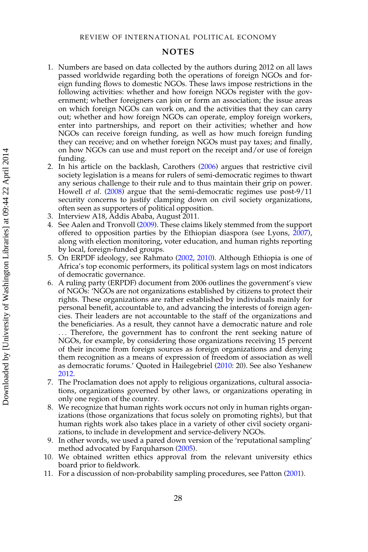#### NOTES

- <span id="page-29-0"></span>1. Numbers are based on data collected by the authors during 2012 on all laws passed worldwide regarding both the operations of foreign NGOs and foreign funding flows to domestic NGOs. These laws impose restrictions in the following activities: whether and how foreign NGOs register with the government; whether foreigners can join or form an association; the issue areas on which foreign NGOs can work on, and the activities that they can carry out; whether and how foreign NGOs can operate, employ foreign workers, enter into partnerships, and report on their activities; whether and how NGOs can receive foreign funding, as well as how much foreign funding they can receive; and on whether foreign NGOs must pay taxes; and finally, on how NGOs can use and must report on the receipt and/or use of foreign funding.
- <span id="page-29-1"></span>2. In his article on the backlash, Carothers ([2006](#page-33-20)) argues that restrictive civil society legislation is a means for rulers of semi-democratic regimes to thwart any serious challenge to their rule and to thus maintain their grip on power. Howell et al. ([2008\)](#page-35-0) argue that the semi-democratic regimes use post-9/11 security concerns to justify clamping down on civil society organizations, often seen as supporters of political opposition.
- <span id="page-29-2"></span>3. Interview A18, Addis Ababa, August 2011.
- <span id="page-29-3"></span>4. See Aalen and Tronvoll ([2009\)](#page-32-10). These claims likely stemmed from the support offered to opposition parties by the Ethiopian diaspora (see Lyons, [2007](#page-35-19)), along with election monitoring, voter education, and human rights reporting by local, foreign-funded groups.
- <span id="page-29-4"></span>5. On ERPDF ideology, see Rahmato [\(2002,](#page-36-6) [2010](#page-36-7)). Although Ethiopia is one of Africa's top economic performers, its political system lags on most indicators of democratic governance.
- <span id="page-29-5"></span>6. A ruling party (ERPDF) document from 2006 outlines the government's view of NGOs: 'NGOs are not organizations established by citizens to protect their rights. These organizations are rather established by individuals mainly for personal benefit, accountable to, and advancing the interests of foreign agencies. Their leaders are not accountable to the staff of the organizations and the beneficiaries. As a result, they cannot have a democratic nature and role ... Therefore, the government has to confront the rent seeking nature of NGOs, for example, by considering those organizations receiving 15 percent of their income from foreign sources as foreign organizations and denying them recognition as a means of expression of freedom of association as well as democratic forums.' Quoted in Hailegebriel [\(2010:](#page-34-6) 20). See also Yeshanew [2012](#page-37-12).
- <span id="page-29-6"></span>7. The Proclamation does not apply to religious organizations, cultural associations, organizations governed by other laws, or organizations operating in only one region of the country.
- <span id="page-29-7"></span>8. We recognize that human rights work occurs not only in human rights organizations (those organizations that focus solely on promoting rights), but that human rights work also takes place in a variety of other civil society organizations, to include in development and service-delivery NGOs.
- <span id="page-29-8"></span>9. In other words, we used a pared down version of the 'reputational sampling' method advocated by Farquharson [\(2005](#page-34-16)).
- <span id="page-29-9"></span>10. We obtained written ethics approval from the relevant university ethics board prior to fieldwork.
- <span id="page-29-10"></span>11. For a discussion of non-probability sampling procedures, see Patton [\(2001](#page-36-18)).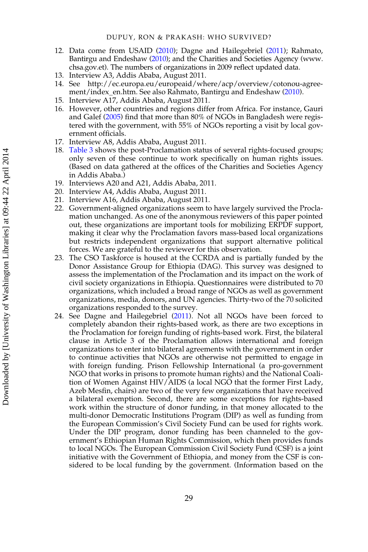- <span id="page-30-0"></span>12. Data come from USAID ([2010](#page-37-13)); Dagne and Hailegebriel [\(2011](#page-34-17)); Rahmato, Bantirgu and Endeshaw [\(2010\)](#page-36-5); and the Charities and Societies Agency [\(www.](http://www.chsa.gov.et) [chsa.gov.et\)](http://www.chsa.gov.et). The numbers of organizations in 2009 reflect updated data.
- <span id="page-30-1"></span>13. Interview A3, Addis Ababa, August 2011.
- <span id="page-30-2"></span>14. See http://ec.europa.eu/europeaid/where/acp/overview/cotonou-agreement/index\_en.htm. See also Rahmato, Bantirgu and Endeshaw [\(2010](#page-36-5)).
- <span id="page-30-3"></span>15. Interview A17, Addis Ababa, August 2011.
- <span id="page-30-4"></span>16. However, other countries and regions differ from Africa. For instance, Gauri and Galef [\(2005](#page-34-18)) find that more than 80% of NGOs in Bangladesh were registered with the government, with 55% of NGOs reporting a visit by local government officials.
- <span id="page-30-5"></span>17. Interview A8, Addis Ababa, August 2011.
- <span id="page-30-6"></span>18. [Table 3](#page-20-0) shows the post-Proclamation status of several rights-focused groups; only seven of these continue to work specifically on human rights issues. (Based on data gathered at the offices of the Charities and Societies Agency in Addis Ababa.)
- 19. Interviews A20 and A21, Addis Ababa, 2011.
- <span id="page-30-9"></span><span id="page-30-8"></span><span id="page-30-7"></span>20. Interview A4, Addis Ababa, August 2011.
- 21. Interview A16, Addis Ababa, August 2011.
- <span id="page-30-10"></span>22. Government-aligned organizations seem to have largely survived the Proclamation unchanged. As one of the anonymous reviewers of this paper pointed out, these organizations are important tools for mobilizing ERPDF support, making it clear why the Proclamation favors mass-based local organizations but restricts independent organizations that support alternative political forces. We are grateful to the reviewer for this observation.
- <span id="page-30-11"></span>23. The CSO Taskforce is housed at the CCRDA and is partially funded by the Donor Assistance Group for Ethiopia (DAG). This survey was designed to assess the implementation of the Proclamation and its impact on the work of civil society organizations in Ethiopia. Questionnaires were distributed to 70 organizations, which included a broad range of NGOs as well as government organizations, media, donors, and UN agencies. Thirty-two of the 70 solicited organizations responded to the survey.
- <span id="page-30-12"></span>24. See Dagne and Hailegebriel [\(2011](#page-34-17)). Not all NGOs have been forced to completely abandon their rights-based work, as there are two exceptions in the Proclamation for foreign funding of rights-based work. First, the bilateral clause in Article 3 of the Proclamation allows international and foreign organizations to enter into bilateral agreements with the government in order to continue activities that NGOs are otherwise not permitted to engage in with foreign funding. Prison Fellowship International (a pro-government NGO that works in prisons to promote human rights) and the National Coalition of Women Against HIV/AIDS (a local NGO that the former First Lady, Azeb Mesfin, chairs) are two of the very few organizations that have received a bilateral exemption. Second, there are some exceptions for rights-based work within the structure of donor funding, in that money allocated to the multi-donor Democratic Institutions Program (DIP) as well as funding from the European Commission's Civil Society Fund can be used for rights work. Under the DIP program, donor funding has been channeled to the government's Ethiopian Human Rights Commission, which then provides funds to local NGOs. The European Commission Civil Society Fund (CSF) is a joint initiative with the Government of Ethiopia, and money from the CSF is considered to be local funding by the government. (Information based on the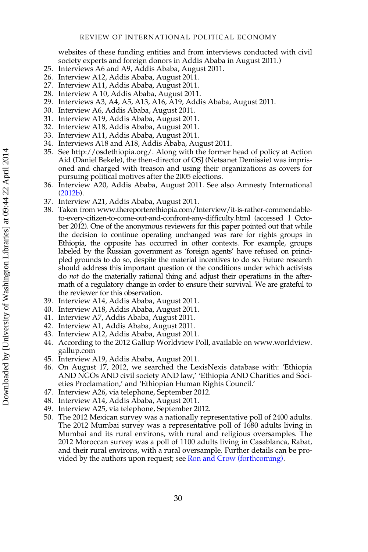websites of these funding entities and from interviews conducted with civil society experts and foreign donors in Addis Ababa in August 2011.)

- <span id="page-31-1"></span><span id="page-31-0"></span>25. Interviews A6 and A9, Addis Ababa, August 2011.
- 26. Interview A12, Addis Ababa, August 2011.
- <span id="page-31-2"></span>27. Interview A11, Addis Ababa, August 2011.
- <span id="page-31-3"></span>28. Interview A 10, Addis Ababa, August 2011.
- <span id="page-31-4"></span>29. Interviews A3, A4, A5, A13, A16, A19, Addis Ababa, August 2011.
- <span id="page-31-5"></span>30. Interview A6, Addis Ababa, August 2011.
- <span id="page-31-6"></span>31. Interview A19, Addis Ababa, August 2011.
- <span id="page-31-7"></span>32. Interview A18, Addis Ababa, August 2011.
- <span id="page-31-8"></span>33. Interview A11, Addis Ababa, August 2011.
- <span id="page-31-9"></span>34. Interviews A18 and A18, Addis Ababa, August 2011.
- <span id="page-31-10"></span>35. See http://osdethiopia.org/. Along with the former head of policy at Action Aid (Daniel Bekele), the then-director of OSJ (Netsanet Demissie) was imprisoned and charged with treason and using their organizations as covers for pursuing political motives after the 2005 elections.
- <span id="page-31-11"></span>36. Interview A20, Addis Ababa, August 2011. See also Amnesty International [\(2012b](#page-32-7)).
- <span id="page-31-12"></span>37. Interview A21, Addis Ababa, August 2011.
- <span id="page-31-13"></span>38. Taken from [www.thereporterethiopia.com/Interview/it-is-rather-commendable](http://www.thereporterethiopia.com/Interview/it-is-rather-commendable-to-every-citizen-to-come-out-and-confront-any-difficulty.html)[to-every-citizen-to-come-out-and-confront-any-difficulty.html](http://www.thereporterethiopia.com/Interview/it-is-rather-commendable-to-every-citizen-to-come-out-and-confront-any-difficulty.html) (accessed 1 October 2012). One of the anonymous reviewers for this paper pointed out that while the decision to continue operating unchanged was rare for rights groups in Ethiopia, the opposite has occurred in other contexts. For example, groups labeled by the Russian government as 'foreign agents' have refused on principled grounds to do so, despite the material incentives to do so. Future research should address this important question of the conditions under which activists do not do the materially rational thing and adjust their operations in the aftermath of a regulatory change in order to ensure their survival. We are grateful to the reviewer for this observation.
- <span id="page-31-14"></span>39. Interview A14, Addis Ababa, August 2011.
- <span id="page-31-15"></span>40. Interview A18, Addis Ababa, August 2011.
- <span id="page-31-17"></span><span id="page-31-16"></span>41. Interview A7, Addis Ababa, August 2011.
- 42. Interview A1, Addis Ababa, August 2011.
- <span id="page-31-19"></span><span id="page-31-18"></span>43. Interview A12, Addis Ababa, August 2011.
- 44. According to the 2012 Gallup Worldview Poll, available on [www.worldview.](http://www.worldview.gallup.com) [gallup.com](http://www.worldview.gallup.com)
- <span id="page-31-20"></span>45. Interview A19, Addis Ababa, August 2011.
- <span id="page-31-21"></span>46. On August 17, 2012, we searched the LexisNexis database with: 'Ethiopia AND NGOs AND civil society AND law,' 'Ethiopia AND Charities and Societies Proclamation,' and 'Ethiopian Human Rights Council.'
- <span id="page-31-23"></span><span id="page-31-22"></span>47. Interview A26, via telephone, September 2012.
- 48. Interview A14, Addis Ababa, August 2011.
- <span id="page-31-24"></span>49. Interview A25, via telephone, September 2012.
- <span id="page-31-25"></span>50. The 2012 Mexican survey was a nationally representative poll of 2400 adults. The 2012 Mumbai survey was a representative poll of 1680 adults living in Mumbai and its rural environs, with rural and religious oversamples. The 2012 Moroccan survey was a poll of 1100 adults living in Casablanca, Rabat, and their rural environs, with a rural oversample. Further details can be provided by the authors upon request; see [Ron and Crow \(forthcoming\).](#page-37-14)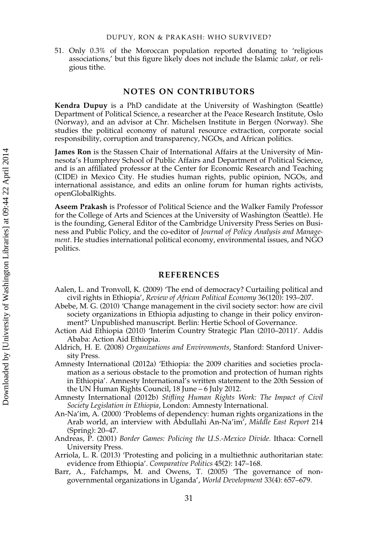<span id="page-32-9"></span>51. Only 0.3% of the Moroccan population reported donating to 'religious associations,' but this figure likely does not include the Islamic zakat, or religious tithe.

### NOTES ON CONTRIBUTORS

Kendra Dupuy is a PhD candidate at the University of Washington (Seattle) Department of Political Science, a researcher at the Peace Research Institute, Oslo (Norway), and an advisor at Chr. Michelsen Institute in Bergen (Norway). She studies the political economy of natural resource extraction, corporate social responsibility, corruption and transparency, NGOs, and African politics.

James Ron is the Stassen Chair of International Affairs at the University of Minnesota's Humphrey School of Public Affairs and Department of Political Science, and is an affiliated professor at the Center for Economic Research and Teaching (CIDE) in Mexico City. He studies human rights, public opinion, NGOs, and international assistance, and edits an online forum for human rights activists, openGlobalRights.

Aseem Prakash is Professor of Political Science and the Walker Family Professor for the College of Arts and Sciences at the University of Washington (Seattle). He is the founding, General Editor of the Cambridge University Press Series on Business and Public Policy, and the co-editor of Journal of Policy Analysis and Management. He studies international political economy, environmental issues, and NGO politics.

#### REFERENCES

- <span id="page-32-10"></span>Aalen, L. and Tronvoll, K. (2009) 'The end of democracy? Curtailing political and civil rights in Ethiopia', Review of African Political Economy 36(120): 193–207.
- <span id="page-32-4"></span>Abebe, M. G. (2010) 'Change management in the civil society sector: how are civil society organizations in Ethiopia adjusting to change in their policy environment?' Unpublished manuscript. Berlin: Hertie School of Governance.
- <span id="page-32-5"></span>Action Aid Ethiopia (2010) 'Interim Country Strategic Plan (2010–2011)'. Addis Ababa: Action Aid Ethiopia.
- <span id="page-32-3"></span>Aldrich, H. E. (2008) Organizations and Environments, Stanford: Stanford University Press.
- <span id="page-32-6"></span>Amnesty International (2012a) 'Ethiopia: the 2009 charities and societies proclamation as a serious obstacle to the promotion and protection of human rights in Ethiopia'. Amnesty International's written statement to the 20th Session of the UN Human Rights Council, 18 June – 6 July 2012.

<span id="page-32-7"></span>Amnesty International (2012b) Stifling Human Rights Work: The Impact of Civil Society Legislation in Ethiopia, London: Amnesty International.

- <span id="page-32-8"></span>An-Na'im, A. (2000) 'Problems of dependency: human rights organizations in the Arab world, an interview with Abdullahi An-Na'im', Middle East Report 214 (Spring): 20–47.
- <span id="page-32-0"></span>Andreas, P. (2001) Border Games: Policing the U.S.-Mexico Divide. Ithaca: Cornell University Press.
- <span id="page-32-2"></span>Arriola, L. R. (2013) 'Protesting and policing in a multiethnic authoritarian state: evidence from Ethiopia'. Comparative Politics 45(2): 147-168.
- <span id="page-32-1"></span>Barr, A., Fafchamps, M. and Owens, T. (2005) 'The governance of nongovernmental organizations in Uganda', World Development 33(4): 657–679.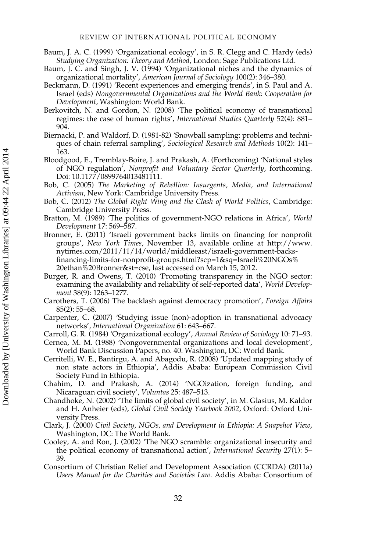- <span id="page-33-14"></span>Baum, J. A. C. (1999) 'Organizational ecology', in S. R. Clegg and C. Hardy (eds) Studying Organization: Theory and Method, London: Sage Publications Ltd.
- <span id="page-33-13"></span>Baum, J. C. and Singh, J. V. (1994) 'Organizational niches and the dynamics of organizational mortality', American Journal of Sociology 100(2): 346–380.
- <span id="page-33-8"></span>Beckmann, D. (1991) 'Recent experiences and emerging trends', in S. Paul and A. Israel (eds) Nongovernmental Organizations and the World Bank: Cooperation for Development, Washington: World Bank.
- <span id="page-33-16"></span>Berkovitch, N. and Gordon, N. (2008) 'The political economy of transnational regimes: the case of human rights', International Studies Quarterly 52(4): 881– 904.
- <span id="page-33-18"></span>Biernacki, P. and Waldorf, D. (1981-82) 'Snowball sampling: problems and techniques of chain referral sampling', Sociological Research and Methods 10(2): 141– 163.
- <span id="page-33-7"></span>Bloodgood, E., Tremblay-Boire, J. and Prakash, A. (Forthcoming) 'National styles of NGO regulation', Nonprofit and Voluntary Sector Quarterly, forthcoming. Doi: 10.1177/0899764013481111.
- <span id="page-33-2"></span>Bob, C. (2005) The Marketing of Rebellion: Insurgents, Media, and International Activism, New York: Cambridge University Press.
- <span id="page-33-0"></span>Bob, C. (2012) The Global Right Wing and the Clash of World Politics, Cambridge: Cambridge University Press.
- <span id="page-33-1"></span>Bratton, M. (1989) 'The politics of government-NGO relations in Africa', World Development 17: 569–587.
- <span id="page-33-10"></span>Bronner, E. (2011) 'Israeli government backs limits on financing for nonprofit groups', New York Times, November 13, available online at [http://www.](http://www.nytimes.com/2011/11/14/world/middleeast/israeli-government-backs-financing-limits-for-nonprofit-groups.html?scp=1&sq=Israeli%20NGOs%20ethan%20Bronner&st=cse) [nytimes.com/2011/11/14/world/middleeast/israeli-government-backs](http://www.nytimes.com/2011/11/14/world/middleeast/israeli-government-backs-financing-limits-for-nonprofit-groups.html?scp=1&sq=Israeli%20NGOs%20ethan%20Bronner&st=cse)[financing-limits-for-nonprofit-groups.html?scp=1&sq=Israeli%20NGOs%](http://www.nytimes.com/2011/11/14/world/middleeast/israeli-government-backs-financing-limits-for-nonprofit-groups.html?scp=1&sq=Israeli%20NGOs%20ethan%20Bronner&st=cse) [20ethan%20Bronner&st=cse,](http://www.nytimes.com/2011/11/14/world/middleeast/israeli-government-backs-financing-limits-for-nonprofit-groups.html?scp=1&sq=Israeli%20NGOs%20ethan%20Bronner&st=cse) last accessed on March 15, 2012.
- <span id="page-33-6"></span>Burger, R. and Owens, T. (2010) 'Promoting transparency in the NGO sector: examining the availability and reliability of self-reported data', World Development 38(9): 1263–1277.
- <span id="page-33-20"></span>Carothers, T. (2006) The backlash against democracy promotion', Foreign Affairs 85(2): 55–68.
- <span id="page-33-3"></span>Carpenter, C. (2007) 'Studying issue (non)-adoption in transnational advocacy networks', International Organization 61: 643–667.
- <span id="page-33-15"></span>Carroll, G. R. (1984) 'Organizational ecology', Annual Review of Sociology 10: 71–93.
- <span id="page-33-9"></span>Cernea, M. M. (1988) 'Nongovernmental organizations and local development', World Bank Discussion Papers, no. 40. Washington, DC: World Bank.
- <span id="page-33-19"></span>Cerritelli, W. E., Bantirgu, A. and Abagodu, R. (2008) 'Updated mapping study of non state actors in Ethiopia', Addis Ababa: European Commission Civil Society Fund in Ethiopia.
- <span id="page-33-4"></span>Chahim, D. and Prakash, A. (2014) 'NGOization, foreign funding, and Nicaraguan civil society', Voluntas 25: 487–513.
- <span id="page-33-5"></span>Chandhoke, N. (2002) 'The limits of global civil society', in M. Glasius, M. Kaldor and H. Anheier (eds), Global Civil Society Yearbook 2002, Oxford: Oxford University Press.
- <span id="page-33-11"></span>Clark, J. (2000) Civil Society, NGOs, and Development in Ethiopia: A Snapshot View, Washington, DC: The World Bank.
- <span id="page-33-17"></span>Cooley, A. and Ron, J. (2002) 'The NGO scramble: organizational insecurity and the political economy of transnational action', International Security 27(1): 5– 39.
- <span id="page-33-12"></span>Consortium of Christian Relief and Development Association (CCRDA) (2011a) Users Manual for the Charities and Societies Law. Addis Ababa: Consortium of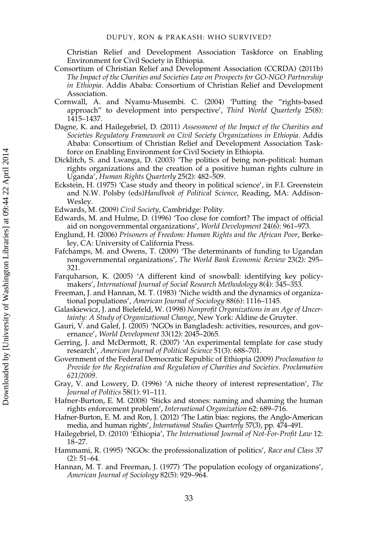Christian Relief and Development Association Taskforce on Enabling Environment for Civil Society in Ethiopia.

- <span id="page-34-13"></span>Consortium of Christian Relief and Development Association (CCRDA) (2011b) The Impact of the Charities and Societies Law on Prospects for GO-NGO Partnership in Ethiopia. Addis Ababa: Consortium of Christian Relief and Development Association.
- <span id="page-34-10"></span>Cornwall, A. and Nyamu-Musembi. C. (2004) 'Putting the "rights-based approach" to development into perspective', Third World Quarterly 25(8): 1415–1437.
- <span id="page-34-17"></span>Dagne, K. and Hailegebriel, D. (2011) Assessment of the Impact of the Charities and Societies Regulatory Framework on Civil Society Organizations in Ethiopia. Addis Ababa: Consortium of Christian Relief and Development Association Taskforce on Enabling Environment for Civil Society in Ethiopia.
- <span id="page-34-14"></span>Dicklitch, S. and Lwanga, D. (2003) 'The politics of being non-political: human rights organizations and the creation of a positive human rights culture in Uganda', Human Rights Quarterly 25(2): 482–509.
- <span id="page-34-1"></span>Eckstein, H. (1975) 'Case study and theory in political science', in F.I. Greenstein and N.W. Polsby (eds)Handbook of Political Science, Reading, MA: Addison-Wesley.
- Edwards, M. (2009) Civil Society, Cambridge: Polity.
- <span id="page-34-2"></span>Edwards, M. and Hulme, D. (1996) 'Too close for comfort? The impact of official aid on nongovernmental organizations', World Development 24(6): 961–973.
- <span id="page-34-3"></span>Englund, H. (2006) Prisoners of Freedom: Human Rights and the African Poor, Berkeley, CA: University of California Press.
- <span id="page-34-5"></span>Fafchamps, M. and Owens, T. (2009) 'The determinants of funding to Ugandan nongovernmental organizations', The World Bank Economic Review 23(2): 295– 321.
- <span id="page-34-16"></span>Farquharson, K. (2005) 'A different kind of snowball: identifying key policymakers', International Journal of Social Research Methodology 8(4): 345–353.
- <span id="page-34-7"></span>Freeman, J. and Hannan, M. T. (1983) 'Niche width and the dynamics of organizational populations', American Journal of Sociology 88(6): 1116–1145.
- <span id="page-34-9"></span>Galaskiewicz, J. and Bielefeld, W. (1998) Nonprofit Organizations in an Age of Uncertainty: A Study of Organizational Change, New York: Aldine de Gruyter.
- <span id="page-34-18"></span>Gauri, V. and Galef, J. (2005) 'NGOs in Bangladesh: activities, resources, and governance', World Development 33(12): 2045–2065.
- <span id="page-34-12"></span>Gerring, J. and McDermott, R. (2007) 'An experimental template for case study research', American Journal of Political Science 51(3): 688–701.
- Government of the Federal Democratic Republic of Ethiopia (2009) Proclamation to Provide for the Registration and Regulation of Charities and Societies. Proclamation 621/2009.
- <span id="page-34-8"></span>Gray, V. and Lowery, D. (1996) 'A niche theory of interest representation', The Journal of Politics 58(1): 91–111.
- <span id="page-34-11"></span>Hafner-Burton, E. M. (2008) 'Sticks and stones: naming and shaming the human rights enforcement problem', International Organization 62: 689–716.
- <span id="page-34-15"></span>Hafner-Burton, E. M. and Ron, J. (2012) 'The Latin bias: regions, the Anglo-American media, and human rights', International Studies Quarterly 57(3), pp. 474–491.
- <span id="page-34-6"></span>Hailegebriel, D. (2010) 'Ethiopia', The International Journal of Not-For-Profit Law 12: 18–27.
- <span id="page-34-4"></span>Hammami, R. (1995) 'NGOs: the professionalization of politics', Race and Class 37 (2): 51–64.
- <span id="page-34-0"></span>Hannan, M. T. and Freeman, J. (1977) 'The population ecology of organizations', American Journal of Sociology 82(5): 929–964.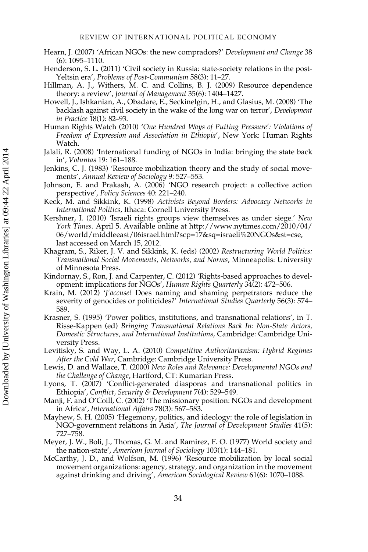- <span id="page-35-2"></span>Hearn, J. (2007) 'African NGOs: the new compradors?' Development and Change 38 (6): 1095–1110.
- <span id="page-35-10"></span>Henderson, S. L. (2011) 'Civil society in Russia: state-society relations in the post-Yeltsin era', Problems of Post-Communism 58(3): 11–27.
- <span id="page-35-15"></span>Hillman, A. J., Withers, M. C. and Collins, B. J. (2009) Resource dependence theory: a review', Journal of Management 35(6): 1404–1427.
- <span id="page-35-0"></span>Howell, J., Ishkanian, A., Obadare, E., Seckinelgin, H., and Glasius, M. (2008) 'The backlash against civil society in the wake of the long war on terror', Development in Practice 18(1): 82–93.
- <span id="page-35-17"></span>Human Rights Watch (2010) 'One Hundred Ways of Putting Pressure': Violations of Freedom of Expression and Association in Ethiopia', New York: Human Rights Watch.
- <span id="page-35-11"></span>Jalali, R. (2008) 'International funding of NGOs in India: bringing the state back in', Voluntas 19: 161–188.
- <span id="page-35-13"></span>Jenkins, C. J. (1983) 'Resource mobilization theory and the study of social movements', Annual Review of Sociology 9: 527–553.
- <span id="page-35-3"></span>Johnson, E. and Prakash, A. (2006) 'NGO research project: a collective action perspective', Policy Sciences 40: 221–240.
- <span id="page-35-5"></span>Keck, M. and Sikkink, K. (1998) Activists Beyond Borders: Advocacy Networks in International Politics, Ithaca: Cornell University Press.
- <span id="page-35-12"></span>Kershner, I. (2010) 'Israeli rights groups view themselves as under siege.' New York Times. April 5. Available online at [http://www.nytimes.com/2010/04/](http://www.nytimes.com/2010/04/06/world/middleeast/06israel.html?scp=17&sq=israeli%20NGOs&st=cse,) [06/world/middleeast/06israel.html?scp=17&sq=israeli%20NGOs&st=cse,](http://www.nytimes.com/2010/04/06/world/middleeast/06israel.html?scp=17&sq=israeli%20NGOs&st=cse,) [last accessed on March 15, 2012.](http://www.nytimes.com/2010/04/06/world/middleeast/06israel.html?scp=17&sq=israeli%20NGOs&st=cse,)
- <span id="page-35-6"></span>Khagram, S., Riker, J. V. and Sikkink, K. (eds) (2002) Restructuring World Politics: Transnational Social Movements, Networks, and Norms, Minneapolis: University of Minnesota Press.
- <span id="page-35-1"></span>Kindornay, S., Ron, J. and Carpenter, C. (2012) 'Rights-based approaches to development: implications for NGOs', Human Rights Quarterly 34(2): 472–506.
- <span id="page-35-16"></span>Krain, M. (2012) '*J'accuse!* Does naming and shaming perpetrators reduce the severity of genocides or politicides?' International Studies Quarterly 56(3): 574– 589.
- <span id="page-35-9"></span>Krasner, S. (1995) 'Power politics, institutions, and transnational relations', in T. Risse-Kappen (ed) Bringing Transnational Relations Back In: Non-State Actors, Domestic Structures, and International Institutions, Cambridge: Cambridge University Press.
- <span id="page-35-18"></span>Levitisky, S. and Way, L. A. (2010) Competitive Authoritarianism: Hybrid Regimes After the Cold War, Cambridge: Cambridge University Press.
- <span id="page-35-4"></span>Lewis, D. and Wallace, T. (2000) New Roles and Relevance: Developmental NGOs and the Challenge of Change, Hartford, CT: Kumarian Press.
- <span id="page-35-19"></span>Lyons, T. (2007) 'Conflict-generated diasporas and transnational politics in Ethiopia', Conflict, Security & Development 7(4): 529–549.
- <span id="page-35-8"></span>Manji, F. and O'Coill, C. (2002) 'The missionary position: NGOs and development in Africa', International Affairs 78(3): 567–583.
- Mayhew, S. H. (2005) 'Hegemony, politics, and ideology: the role of legislation in NGO-government relations in Asia', The Journal of Development Studies 41(5): 727–758.
- <span id="page-35-7"></span>Meyer, J. W., Boli, J., Thomas, G. M. and Ramirez, F. O. (1977) World society and the nation-state', American Journal of Sociology 103(1): 144–181.
- <span id="page-35-14"></span>McCarthy, J. D., and Wolfson, M. (1996) 'Resource mobilization by local social movement organizations: agency, strategy, and organization in the movement against drinking and driving', American Sociological Review 61(6): 1070–1088.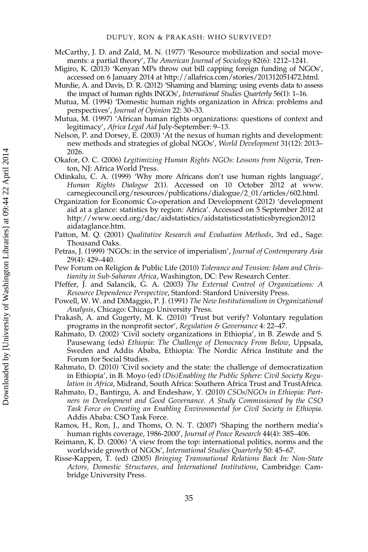- <span id="page-36-8"></span>McCarthy, J. D. and Zald, M. N. (1977) 'Resource mobilization and social movements: a partial theory', The American Journal of Sociology 82(6): 1212–1241.
- <span id="page-36-4"></span>Migiro, K. (2013) 'Kenyan MPs throw out bill capping foreign funding of NGOs', accessed on 6 January 2014 at<http://allafrica.com/stories/201312051472.html>.
- <span id="page-36-12"></span>Murdie, A. and Davis, D. R. (2012) 'Shaming and blaming: using events data to assess the impact of human rights INGOs', International Studies Quarterly 56(1): 1–16.
- <span id="page-36-15"></span>Mutua, M. (1994) 'Domestic human rights organization in Africa: problems and perspectives', Journal of Opinion 22: 30–33.
- <span id="page-36-16"></span>Mutua, M. (1997) 'African human rights organizations: questions of context and legitimacy', Africa Legal Aid July-September: 9–13.
- <span id="page-36-0"></span>Nelson, P. and Dorsey, E. (2003) 'At the nexus of human rights and development: new methods and strategies of global NGOs', World Development 31(12): 2013– 2026.
- <span id="page-36-10"></span>Okafor, O. C. (2006) Legitimizing Human Rights NGOs: Lessons from Nigeria, Trenton, NJ: Africa World Press.
- <span id="page-36-17"></span>Odinkalu, C. A. (1999) 'Why more Africans don't use human rights language', Human Rights Dialogue 2(1). Accessed on 10 October 2012 at [www.](http://www.carnegiecouncil.org/resources/publications/dialogue/2_01/articles/602.html) [carnegiecouncil.org/resources/publications/dialogue/2\\_01/articles/602.html.](http://www.carnegiecouncil.org/resources/publications/dialogue/2_01/articles/602.html)
- <span id="page-36-14"></span>Organization for Economic Co-operation and Development (2012) 'development aid at a glance: statistics by region: Africa'. Accessed on 5 September 2012 at [http://www.oecd.org/dac/aidstatistics/aidstatisticsstatisticsbyregion2012](http://www.oecd.org/dac/aidstatistics/aidstatisticsstatisticsbyregion2012aidataglance.htm) [aidataglance.htm.](http://www.oecd.org/dac/aidstatistics/aidstatisticsstatisticsbyregion2012aidataglance.htm)
- <span id="page-36-18"></span>Patton, M. Q. (2001) Qualitative Research and Evaluation Methods, 3rd ed., Sage: Thousand Oaks.
- <span id="page-36-3"></span>Petras, J. (1999) 'NGOs: in the service of imperialism', Journal of Contemporary Asia 29(4): 429–440.
- Pew Forum on Religion & Public Life (2010) Tolerance and Tension: Islam and Christianity in Sub-Saharan Africa, Washington, DC: Pew Research Center.
- <span id="page-36-11"></span>Pfeffer, J. and Salancik, G. A. (2003) The External Control of Organizations: A Resource Dependence Perspective, Stanford: Stanford University Press.
- <span id="page-36-9"></span>Powell, W. W. and DiMaggio, P. J. (1991) The New Institutionalism in Organizational Analysis, Chicago: Chicago University Press.
- <span id="page-36-1"></span>Prakash, A. and Gugerty, M. K. (2010) 'Trust but verify? Voluntary regulation programs in the nonprofit sector', Regulation & Governance 4: 22–47.
- <span id="page-36-6"></span>Rahmato, D. (2002) 'Civil society organizations in Ethiopia', in B. Zewde and S. Pausewang (eds) Ethiopia: The Challenge of Democracy From Below, Uppsala, Sweden and Addis Ababa, Ethiopia: The Nordic Africa Institute and the Forum for Social Studies.
- <span id="page-36-7"></span>Rahmato, D. (2010) 'Civil society and the state: the challenge of democratization in Ethiopia', in B. Moyo (ed) (Dis)Enabling the Public Sphere: Civil Society Regulation in Africa, Midrand, South Africa: Southern Africa Trust and TrustAfrica.
- <span id="page-36-5"></span>Rahmato, D., Bantirgu, A. and Endeshaw, Y. (2010) CSOs/NGOs in Ethiopia: Partners in Development and Good Governance. A Study Commissioned by the CSO Task Force on Creating an Enabling Environmental for Civil Society in Ethiopia. Addis Ababa: CSO Task Force.
- <span id="page-36-13"></span>Ramos, H., Ron, J., and Thoms, O. N. T. (2007) 'Shaping the northern media's human rights coverage, 1986-2000', Journal of Peace Research 44(4): 385–406.
- <span id="page-36-2"></span>Reimann, K. D. (2006) 'A view from the top: international politics, norms and the worldwide growth of NGOs', International Studies Quarterly 50: 45–67.
- Risse-Kappen, T. (ed) (2005) Bringing Transnational Relations Back In: Non-State Actors, Domestic Structures, and International Institutions, Cambridge: Cambridge University Press.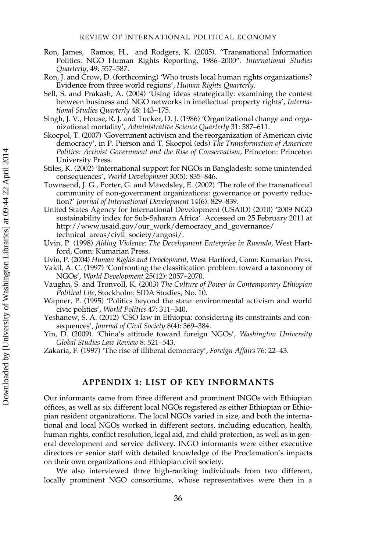- <span id="page-37-3"></span>Ron, James, Ramos, H., and Rodgers, K. (2005). "Transnational Information Politics: NGO Human Rights Reporting, 1986–2000". International Studies Quarterly, 49: 557–587.
- <span id="page-37-14"></span>Ron, J. and Crow, D. (forthcoming) 'Who trusts local human rights organizations? Evidence from three world regions', Human Rights Quarterly.
- <span id="page-37-2"></span>Sell, S. and Prakash, A. (2004) 'Using ideas strategically: examining the contest between business and NGO networks in intellectual property rights', International Studies Quarterly 48: 143–175.
- <span id="page-37-10"></span>Singh, J. V., House, R. J. and Tucker, D. J. (1986) 'Organizational change and organizational mortality', Administrative Science Quarterly 31: 587–611.
- <span id="page-37-8"></span>Skocpol, T. (2007) 'Government activism and the reorganization of American civic democracy', in P. Pierson and T. Skocpol (eds) The Transformation of American Politics: Activist Government and the Rise of Conservatism, Princeton: Princeton University Press.
- <span id="page-37-5"></span>Stiles, K. (2002) 'International support for NGOs in Bangladesh: some unintended consequences', World Development 30(5): 835–846.
- <span id="page-37-6"></span>Townsend, J. G., Porter, G. and Mawdsley, E. (2002) 'The role of the transnational community of non-government organizations: governance or poverty reduction?' Journal of International Development 14(6): 829–839.
- <span id="page-37-13"></span>United States Agency for International Development (USAID) (2010) '2009 NGO sustainability index for Sub-Saharan Africa'. Accessed on 25 February 2011 at [http://www.usaid.gov/our\\_work/democracy\\_and\\_governance/](http://www.usaid.gov/our_work/democracy_and_governance/technical_areas/civil_society/angosi/) [technical\\_areas/civil\\_society/angosi/](http://www.usaid.gov/our_work/democracy_and_governance/technical_areas/civil_society/angosi/).
- <span id="page-37-4"></span>Uvin, P. (1998) Aiding Violence: The Development Enterprise in Rwanda, West Hartford, Conn: Kumarian Press.
- <span id="page-37-9"></span>Uvin, P. (2004) Human Rights and Development, West Hartford, Conn: Kumarian Press.
- <span id="page-37-1"></span>Vakil, A. C. (1997) 'Confronting the classification problem: toward a taxonomy of NGOs', World Development 25(12): 2057–2070.
- <span id="page-37-7"></span>Vaughn, S. and Tronvoll, K. (2003) The Culture of Power in Contemporary Ethiopian Political Life, Stockholm: SIDA Studies, No. 10.
- <span id="page-37-0"></span>Wapner, P. (1995) 'Politics beyond the state: environmental activism and world civic politics', World Politics 47: 311–340.
- <span id="page-37-12"></span>Yeshanew, S. A. (2012) 'CSO law in Ethiopia: considering its constraints and consequences', Journal of Civil Society 8(4): 369-384.
- Yin, D. (2009). 'China's attitude toward foreign NGOs', Washington University Global Studies Law Review 8: 521–543.
- <span id="page-37-11"></span>Zakaria, F. (1997) 'The rise of illiberal democracy', Foreign Affairs 76: 22–43.

## APPENDIX 1: LIST OF KEY INFORMANTS

Our informants came from three different and prominent INGOs with Ethiopian offices, as well as six different local NGOs registered as either Ethiopian or Ethiopian resident organizations. The local NGOs varied in size, and both the international and local NGOs worked in different sectors, including education, health, human rights, conflict resolution, legal aid, and child protection, as well as in general development and service delivery. INGO informants were either executive directors or senior staff with detailed knowledge of the Proclamation's impacts on their own organizations and Ethiopian civil society.

We also interviewed three high-ranking individuals from two different, locally prominent NGO consortiums, whose representatives were then in a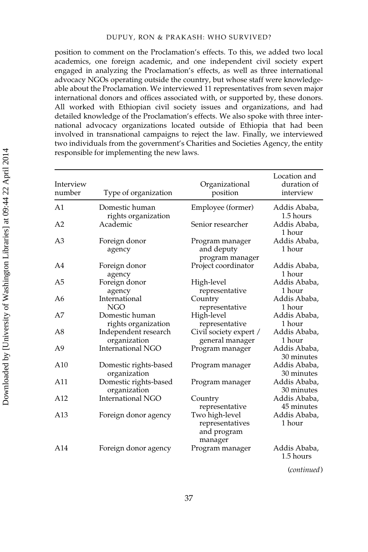position to comment on the Proclamation's effects. To this, we added two local academics, one foreign academic, and one independent civil society expert engaged in analyzing the Proclamation's effects, as well as three international advocacy NGOs operating outside the country, but whose staff were knowledgeable about the Proclamation. We interviewed 11 representatives from seven major international donors and offices associated with, or supported by, these donors. All worked with Ethiopian civil society issues and organizations, and had detailed knowledge of the Proclamation's effects. We also spoke with three international advocacy organizations located outside of Ethiopia that had been involved in transnational campaigns to reject the law. Finally, we interviewed two individuals from the government's Charities and Societies Agency, the entity responsible for implementing the new laws.

| Interview<br>number | Type of organization                  | Organizational<br>position                                  | Location and<br>duration of<br>interview |
|---------------------|---------------------------------------|-------------------------------------------------------------|------------------------------------------|
| A <sub>1</sub>      | Domestic human<br>rights organization | Employee (former)                                           | Addis Ababa,<br>1.5 hours                |
| A <sub>2</sub>      | Academic                              | Senior researcher                                           | Addis Ababa,<br>1 hour                   |
| A <sub>3</sub>      | Foreign donor<br>agency               | Program manager<br>and deputy<br>program manager            | Addis Ababa,<br>1 hour                   |
| A4                  | Foreign donor<br>agency               | Project coordinator                                         | Addis Ababa,<br>1 hour                   |
| A5                  | Foreign donor<br>agency               | High-level<br>representative                                | Addis Ababa,<br>1 hour                   |
| A6                  | International<br>NGO                  | Country<br>representative                                   | Addis Ababa,<br>1 hour                   |
| A7                  | Domestic human<br>rights organization | High-level<br>representative                                | Addis Ababa,<br>1 hour                   |
| A8                  | Independent research<br>organization  | Civil society expert /<br>general manager                   | Addis Ababa,<br>1 hour                   |
| A9                  | <b>International NGO</b>              | Program manager                                             | Addis Ababa,<br>30 minutes               |
| A10                 | Domestic rights-based<br>organization | Program manager                                             | Addis Ababa,<br>30 minutes               |
| A11                 | Domestic rights-based<br>organization | Program manager                                             | Addis Ababa,<br>30 minutes               |
| A12                 | International NGO                     | Country<br>representative                                   | Addis Ababa,<br>45 minutes               |
| A <sub>13</sub>     | Foreign donor agency                  | Two high-level<br>representatives<br>and program<br>manager | Addis Ababa,<br>1 hour                   |
| A14                 | Foreign donor agency                  | Program manager                                             | Addis Ababa,<br>1.5 hours                |

(continued)